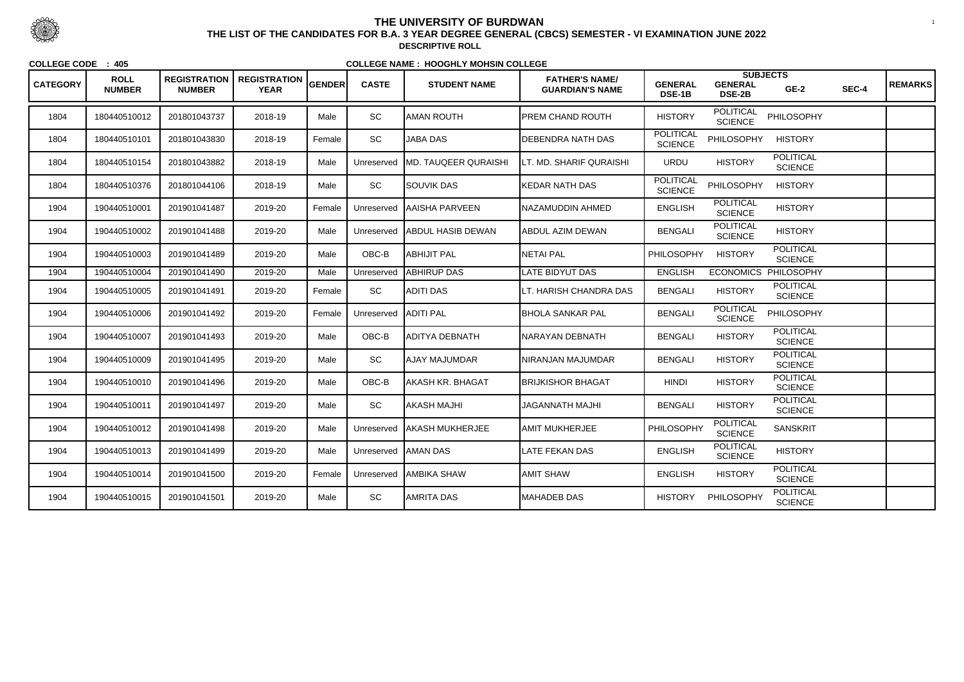| <b>CATEGORY</b> | <b>ROLL</b><br><b>NUMBER</b> | <b>REGISTRATION</b><br><b>NUMBER</b> | <b>REGISTRATION</b><br><b>YEAR</b> | <b>GENDER</b> | <b>CASTE</b>        | <b>STUDENT NAME</b>          | <b>FATHER'S NAME/</b><br><b>GUARDIAN'S NAME</b> | <b>GENERAL</b><br><b>DSE-1B</b>    | <b>GENERAL</b><br><b>DSE-2B</b>    | <b>SUBJECTS</b><br>$GE-2$          | SEC-4 | <b>REMARKS</b> |
|-----------------|------------------------------|--------------------------------------|------------------------------------|---------------|---------------------|------------------------------|-------------------------------------------------|------------------------------------|------------------------------------|------------------------------------|-------|----------------|
| 1804            | 180440510012                 | 201801043737                         | 2018-19                            | Male          | <b>SC</b>           | <b>AMAN ROUTH</b>            | PREM CHAND ROUTH                                | <b>HISTORY</b>                     | <b>POLITICAL</b><br><b>SCIENCE</b> | PHILOSOPHY                         |       |                |
| 1804            | 180440510101                 | 201801043830                         | 2018-19                            | Female        | SC                  | <b>JABA DAS</b>              | <b>DEBENDRA NATH DAS</b>                        | <b>POLITICAL</b><br><b>SCIENCE</b> | <b>PHILOSOPHY</b>                  | <b>HISTORY</b>                     |       |                |
| 1804            | 180440510154                 | 201801043882                         | 2018-19                            | Male          | Unreserved          | <b>IMD. TAUQEER QURAISHI</b> | LT. MD. SHARIF QURAISHI                         | <b>URDU</b>                        | <b>HISTORY</b>                     | <b>POLITICAL</b><br><b>SCIENCE</b> |       |                |
| 1804            | 180440510376                 | 201801044106                         | 2018-19                            | Male          | SC                  | <b>SOUVIK DAS</b>            | <b>KEDAR NATH DAS</b>                           | <b>POLITICAL</b><br><b>SCIENCE</b> | PHILOSOPHY                         | <b>HISTORY</b>                     |       |                |
| 1904            | 190440510001                 | 201901041487                         | 2019-20                            | Female        | Unreserved          | AAISHA PARVEEN               | NAZAMUDDIN AHMED                                | <b>ENGLISH</b>                     | <b>POLITICAL</b><br><b>SCIENCE</b> | <b>HISTORY</b>                     |       |                |
| 1904            | 190440510002                 | 201901041488                         | 2019-20                            | Male          | Unreserved          | <b>ABDUL HASIB DEWAN</b>     | ABDUL AZIM DEWAN                                | <b>BENGALI</b>                     | <b>POLITICAL</b><br><b>SCIENCE</b> | <b>HISTORY</b>                     |       |                |
| 1904            | 190440510003                 | 201901041489                         | 2019-20                            | Male          | OBC-B               | <b>ABHIJIT PAL</b>           | <b>NETAI PAL</b>                                | PHILOSOPHY                         | <b>HISTORY</b>                     | <b>POLITICAL</b><br><b>SCIENCE</b> |       |                |
| 1904            | 190440510004                 | 201901041490                         | 2019-20                            | Male          | Unreserved          | <b>ABHIRUP DAS</b>           | LATE BIDYUT DAS                                 | <b>ENGLISH</b>                     | <b>ECONOMICS</b>                   | PHILOSOPHY                         |       |                |
| 1904            | 190440510005                 | 201901041491                         | 2019-20                            | Female        | SC                  | ADITI DAS                    | LT. HARISH CHANDRA DAS                          | <b>BENGALI</b>                     | <b>HISTORY</b>                     | <b>POLITICAL</b><br><b>SCIENCE</b> |       |                |
| 1904            | 190440510006                 | 201901041492                         | 2019-20                            | Female        | Unreserved          | <b>ADITI PAL</b>             | IBHOLA SANKAR PAL                               | <b>BENGALI</b>                     | <b>POLITICAL</b><br><b>SCIENCE</b> | PHILOSOPHY                         |       |                |
| 1904            | 190440510007                 | 201901041493                         | 2019-20                            | Male          | OBC-B               | ADITYA DEBNATH               | NARAYAN DEBNATH                                 | <b>BENGALI</b>                     | <b>HISTORY</b>                     | <b>POLITICAL</b><br><b>SCIENCE</b> |       |                |
| 1904            | 190440510009                 | 201901041495                         | 2019-20                            | Male          | SC                  | AJAY MAJUMDAR                | NIRANJAN MAJUMDAR                               | <b>BENGALI</b>                     | <b>HISTORY</b>                     | <b>POLITICAL</b><br><b>SCIENCE</b> |       |                |
| 1904            | 190440510010                 | 201901041496                         | 2019-20                            | Male          | OBC-B               | <b>JAKASH KR. BHAGAT</b>     | BRIJKISHOR BHAGAT                               | <b>HINDI</b>                       | <b>HISTORY</b>                     | <b>POLITICAL</b><br><b>SCIENCE</b> |       |                |
| 1904            | 190440510011                 | 201901041497                         | 2019-20                            | Male          | SC                  | <b>AKASH MAJHI</b>           | <b>JAGANNATH MAJHI</b>                          | <b>BENGALI</b>                     | <b>HISTORY</b>                     | <b>POLITICAL</b><br><b>SCIENCE</b> |       |                |
| 1904            | 190440510012                 | 201901041498                         | 2019-20                            | Male          |                     | Unreserved   AKASH MUKHERJEE | AMIT MUKHERJEE                                  | PHILOSOPHY                         | <b>POLITICAL</b><br><b>SCIENCE</b> | <b>SANSKRIT</b>                    |       |                |
| 1904            | 190440510013                 | 201901041499                         | 2019-20                            | Male          | Unreserved AMAN DAS |                              | <b>LATE FEKAN DAS</b>                           | <b>ENGLISH</b>                     | <b>POLITICAL</b><br><b>SCIENCE</b> | <b>HISTORY</b>                     |       |                |
| 1904            | 190440510014                 | 201901041500                         | 2019-20                            | Female        | Unreserved          | <b>AMBIKA SHAW</b>           | <b>AMIT SHAW</b>                                | <b>ENGLISH</b>                     | <b>HISTORY</b>                     | <b>POLITICAL</b><br><b>SCIENCE</b> |       |                |
| 1904            | 190440510015                 | 201901041501                         | 2019-20                            | Male          | SC                  | AMRITA DAS                   | <b>MAHADEB DAS</b>                              | <b>HISTORY</b>                     | PHILOSOPHY                         | <b>POLITICAL</b><br><b>SCIENCE</b> |       |                |



 <sup>1</sup> **THE LIST OF THE CANDIDATES FOR B.A. 3 YEAR DEGREE GENERAL (CBCS) SEMESTER - VI EXAMINATION JUNE 2022DESCRIPTIVE ROLL**

**COLLEGE CODE : 405**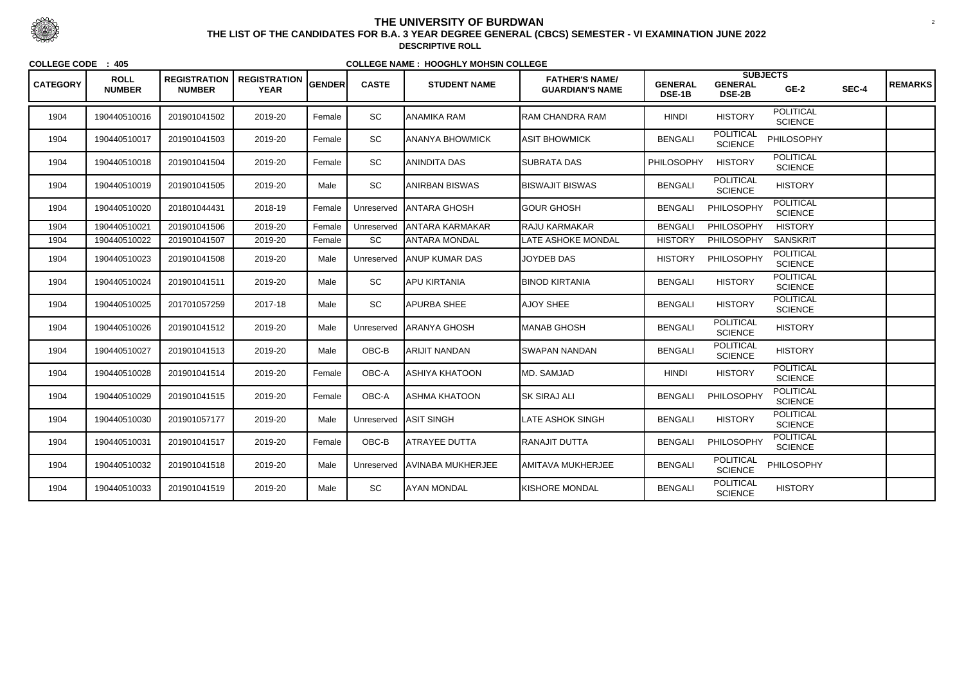| <b>CATEGORY</b> | <b>ROLL</b><br><b>NUMBER</b> | <b>REGISTRATION</b><br><b>NUMBER</b> | REGISTRATION GENDER<br><b>YEAR</b> |        | <b>CASTE</b> | <b>STUDENT NAME</b>            | <b>FATHER'S NAME/</b><br><b>GUARDIAN'S NAME</b> | <b>GENERAL</b><br>DSE-1B | <b>SUBJECTS</b><br><b>GENERAL</b><br><b>DSE-2B</b> | $GE-2$                             | SEC-4 | <b>REMARKS</b> |
|-----------------|------------------------------|--------------------------------------|------------------------------------|--------|--------------|--------------------------------|-------------------------------------------------|--------------------------|----------------------------------------------------|------------------------------------|-------|----------------|
| 1904            | 190440510016                 | 201901041502                         | 2019-20                            | Female | SC           | <b>JANAMIKA RAM</b>            | <b>RAM CHANDRA RAM</b>                          | <b>HINDI</b>             | <b>HISTORY</b>                                     | <b>POLITICAL</b><br><b>SCIENCE</b> |       |                |
| 1904            | 190440510017                 | 201901041503                         | 2019-20                            | Female | SC           | <b>JANANYA BHOWMICK</b>        | ASIT BHOWMICK                                   | <b>BENGALI</b>           | <b>POLITICAL</b><br><b>SCIENCE</b>                 | PHILOSOPHY                         |       |                |
| 1904            | 190440510018                 | 201901041504                         | 2019-20                            | Female | SC           | ANINDITA DAS                   | <b>SUBRATA DAS</b>                              | PHILOSOPHY               | <b>HISTORY</b>                                     | <b>POLITICAL</b><br><b>SCIENCE</b> |       |                |
| 1904            | 190440510019                 | 201901041505                         | 2019-20                            | Male   | SC           | <b>ANIRBAN BISWAS</b>          | <b>BISWAJIT BISWAS</b>                          | <b>BENGALI</b>           | <b>POLITICAL</b><br><b>SCIENCE</b>                 | <b>HISTORY</b>                     |       |                |
| 1904            | 190440510020                 | 201801044431                         | 2018-19                            | Female | Unreserved   | <b>JANTARA GHOSH</b>           | <b>GOUR GHOSH</b>                               | <b>BENGALI</b>           | PHILOSOPHY                                         | <b>POLITICAL</b><br><b>SCIENCE</b> |       |                |
| 1904            | 190440510021                 | 201901041506                         | 2019-20                            | Female | Unreserved   | <b>JANTARA KARMAKAR</b>        | <b>RAJU KARMAKAR</b>                            | <b>BENGALI</b>           | PHILOSOPHY                                         | <b>HISTORY</b>                     |       |                |
| 1904            | 190440510022                 | 201901041507                         | 2019-20                            | Female | SC           | ANTARA MONDAL                  | LATE ASHOKE MONDAL                              | <b>HISTORY</b>           | <b>PHILOSOPHY</b>                                  | <b>SANSKRIT</b>                    |       |                |
| 1904            | 190440510023                 | 201901041508                         | 2019-20                            | Male   | Unreserved   | <b>JANUP KUMAR DAS</b>         | <b>JOYDEB DAS</b>                               | <b>HISTORY</b>           | PHILOSOPHY                                         | <b>POLITICAL</b><br><b>SCIENCE</b> |       |                |
| 1904            | 190440510024                 | 201901041511                         | 2019-20                            | Male   | SC           | <b>APU KIRTANIA</b>            | <b>BINOD KIRTANIA</b>                           | <b>BENGALI</b>           | <b>HISTORY</b>                                     | <b>POLITICAL</b><br><b>SCIENCE</b> |       |                |
| 1904            | 190440510025                 | 201701057259                         | 2017-18                            | Male   | <b>SC</b>    | <b>APURBA SHEE</b>             | <b>AJOY SHEE</b>                                | <b>BENGALI</b>           | <b>HISTORY</b>                                     | <b>POLITICAL</b><br><b>SCIENCE</b> |       |                |
| 1904            | 190440510026                 | 201901041512                         | 2019-20                            | Male   | Unreserved   | <b>JARANYA GHOSH</b>           | <b>MANAB GHOSH</b>                              | <b>BENGALI</b>           | <b>POLITICAL</b><br><b>SCIENCE</b>                 | <b>HISTORY</b>                     |       |                |
| 1904            | 190440510027                 | 201901041513                         | 2019-20                            | Male   | OBC-B        | <b>ARIJIT NANDAN</b>           | SWAPAN NANDAN                                   | <b>BENGALI</b>           | <b>POLITICAL</b><br><b>SCIENCE</b>                 | <b>HISTORY</b>                     |       |                |
| 1904            | 190440510028                 | 201901041514                         | 2019-20                            | Female | OBC-A        | <b>ASHIYA KHATOON</b>          | MD. SAMJAD                                      | <b>HINDI</b>             | <b>HISTORY</b>                                     | <b>POLITICAL</b><br><b>SCIENCE</b> |       |                |
| 1904            | 190440510029                 | 201901041515                         | 2019-20                            | Female | OBC-A        | <b>ASHMA KHATOON</b>           | <b>SK SIRAJ ALI</b>                             | <b>BENGALI</b>           | PHILOSOPHY                                         | <b>POLITICAL</b><br><b>SCIENCE</b> |       |                |
| 1904            | 190440510030                 | 201901057177                         | 2019-20                            | Male   |              | Unreserved ASIT SINGH          | LATE ASHOK SINGH                                | <b>BENGALI</b>           | <b>HISTORY</b>                                     | <b>POLITICAL</b><br><b>SCIENCE</b> |       |                |
| 1904            | 190440510031                 | 201901041517                         | 2019-20                            | Female | OBC-B        | <b>ATRAYEE DUTTA</b>           | <b>RANAJIT DUTTA</b>                            | <b>BENGALI</b>           | PHILOSOPHY                                         | <b>POLITICAL</b><br><b>SCIENCE</b> |       |                |
| 1904            | 190440510032                 | 201901041518                         | 2019-20                            | Male   |              | Unreserved   AVINABA MUKHERJEE | AMITAVA MUKHERJEE                               | <b>BENGALI</b>           | <b>POLITICAL</b><br><b>SCIENCE</b>                 | PHILOSOPHY                         |       |                |
| 1904            | 190440510033                 | 201901041519                         | 2019-20                            | Male   | SC           | <b>AYAN MONDAL</b>             | <b>KISHORE MONDAL</b>                           | <b>BENGALI</b>           | <b>POLITICAL</b><br><b>SCIENCE</b>                 | <b>HISTORY</b>                     |       |                |



 <sup>2</sup> **THE LIST OF THE CANDIDATES FOR B.A. 3 YEAR DEGREE GENERAL (CBCS) SEMESTER - VI EXAMINATION JUNE 2022DESCRIPTIVE ROLL**

**COLLEGE CODE : 405**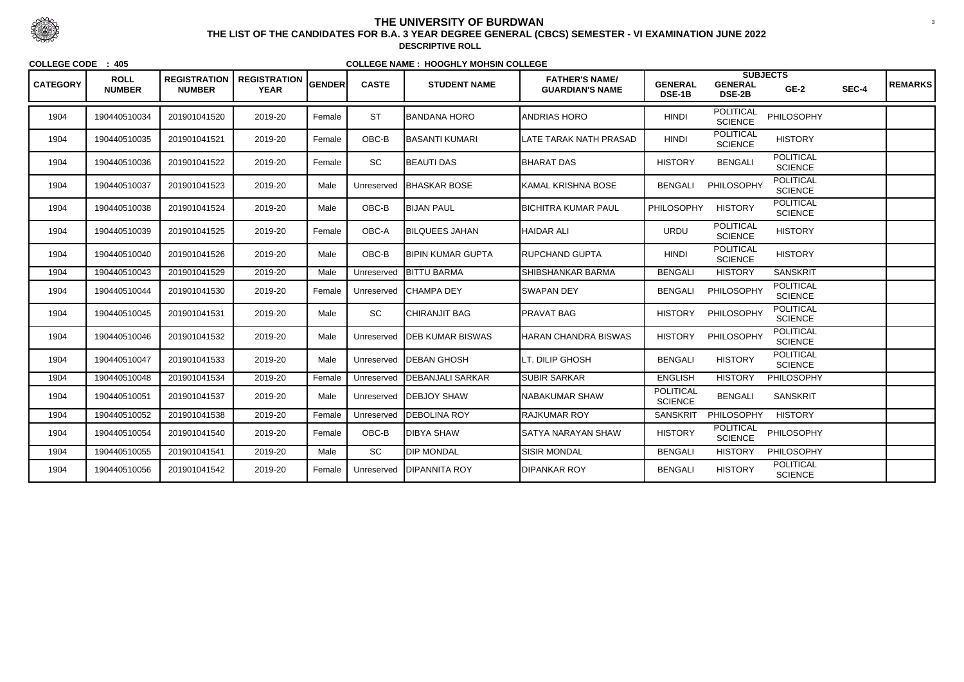| <b>CATEGORY</b> | <b>ROLL</b><br><b>NUMBER</b> | <b>REGISTRATION</b><br><b>NUMBER</b> | <b>REGISTRATION</b><br><b>YEAR</b> | <b>GENDER</b> | <b>CASTE</b> | <b>STUDENT NAME</b>      | <b>FATHER'S NAME/</b><br><b>GUARDIAN'S NAME</b> | <b>GENERAL</b><br><b>DSE-1B</b>    | <b>SUBJECTS</b><br><b>GENERAL</b><br><b>DSE-2B</b> | $GE-2$                             | SEC-4 | <b>REMARKS</b> |
|-----------------|------------------------------|--------------------------------------|------------------------------------|---------------|--------------|--------------------------|-------------------------------------------------|------------------------------------|----------------------------------------------------|------------------------------------|-------|----------------|
| 1904            | 190440510034                 | 201901041520                         | 2019-20                            | Female        | <b>ST</b>    | <b>BANDANA HORO</b>      | <b>ANDRIAS HORO</b>                             | <b>HINDI</b>                       | <b>POLITICAL</b><br><b>SCIENCE</b>                 | PHILOSOPHY                         |       |                |
| 1904            | 190440510035                 | 201901041521                         | 2019-20                            | Female        | OBC-B        | BASANTI KUMARI           | LATE TARAK NATH PRASAD                          | <b>HINDI</b>                       | <b>POLITICAL</b><br><b>SCIENCE</b>                 | <b>HISTORY</b>                     |       |                |
| 1904            | 190440510036                 | 201901041522                         | 2019-20                            | Female        | SC           | <b>BEAUTI DAS</b>        | <b>BHARAT DAS</b>                               | <b>HISTORY</b>                     | <b>BENGALI</b>                                     | <b>POLITICAL</b><br><b>SCIENCE</b> |       |                |
| 1904            | 190440510037                 | 201901041523                         | 2019-20                            | Male          | Unreserved   | <b>BHASKAR BOSE</b>      | KAMAL KRISHNA BOSE                              | <b>BENGALI</b>                     | PHILOSOPHY                                         | <b>POLITICAL</b><br><b>SCIENCE</b> |       |                |
| 1904            | 190440510038                 | 201901041524                         | 2019-20                            | Male          | OBC-B        | <b>BIJAN PAUL</b>        | <b>BICHITRA KUMAR PAUL</b>                      | PHILOSOPHY                         | <b>HISTORY</b>                                     | <b>POLITICAL</b><br><b>SCIENCE</b> |       |                |
| 1904            | 190440510039                 | 201901041525                         | 2019-20                            | Female        | OBC-A        | <b>BILQUEES JAHAN</b>    | <b>HAIDAR ALI</b>                               | <b>URDU</b>                        | <b>POLITICAL</b><br><b>SCIENCE</b>                 | <b>HISTORY</b>                     |       |                |
| 1904            | 190440510040                 | 201901041526                         | 2019-20                            | Male          | OBC-B        | <b>BIPIN KUMAR GUPTA</b> | <b>RUPCHAND GUPTA</b>                           | <b>HINDI</b>                       | <b>POLITICAL</b><br><b>SCIENCE</b>                 | <b>HISTORY</b>                     |       |                |
| 1904            | 190440510043                 | 201901041529                         | 2019-20                            | Male          | Unreserved   | <b>BITTU BARMA</b>       | <b>SHIBSHANKAR BARMA</b>                        | <b>BENGALI</b>                     | <b>HISTORY</b>                                     | <b>SANSKRIT</b>                    |       |                |
| 1904            | 190440510044                 | 201901041530                         | 2019-20                            | Female        | Unreserved   | <b>CHAMPA DEY</b>        | <b>SWAPAN DEY</b>                               | <b>BENGALI</b>                     | PHILOSOPHY                                         | <b>POLITICAL</b><br><b>SCIENCE</b> |       |                |
| 1904            | 190440510045                 | 201901041531                         | 2019-20                            | Male          | SC           | <b>CHIRANJIT BAG</b>     | PRAVAT BAG                                      | <b>HISTORY</b>                     | PHILOSOPHY                                         | <b>POLITICAL</b><br><b>SCIENCE</b> |       |                |
| 1904            | 190440510046                 | 201901041532                         | 2019-20                            | Male          | Unreserved   | <b>IDEB KUMAR BISWAS</b> | <b>HARAN CHANDRA BISWAS</b>                     | <b>HISTORY</b>                     | PHILOSOPHY                                         | <b>POLITICAL</b><br><b>SCIENCE</b> |       |                |
| 1904            | 190440510047                 | 201901041533                         | 2019-20                            | Male          | Unreserved   | <b>IDEBAN GHOSH</b>      | LT. DILIP GHOSH                                 | <b>BENGALI</b>                     | <b>HISTORY</b>                                     | <b>POLITICAL</b><br><b>SCIENCE</b> |       |                |
| 1904            | 190440510048                 | 201901041534                         | 2019-20                            | Female        | Unreserved   | <b>IDEBANJALI SARKAR</b> | <b>SUBIR SARKAR</b>                             | <b>ENGLISH</b>                     | <b>HISTORY</b>                                     | <b>PHILOSOPHY</b>                  |       |                |
| 1904            | 190440510051                 | 201901041537                         | 2019-20                            | Male          | Unreserved   | <b>IDEBJOY SHAW</b>      | <b>NABAKUMAR SHAW</b>                           | <b>POLITICAL</b><br><b>SCIENCE</b> | <b>BENGALI</b>                                     | <b>SANSKRIT</b>                    |       |                |
| 1904            | 190440510052                 | 201901041538                         | 2019-20                            | Female        | Unreserved   | <b>DEBOLINA ROY</b>      | <b>RAJKUMAR ROY</b>                             | <b>SANSKRIT</b>                    | PHILOSOPHY                                         | <b>HISTORY</b>                     |       |                |
| 1904            | 190440510054                 | 201901041540                         | 2019-20                            | Female        | OBC-B        | <b>DIBYA SHAW</b>        | SATYA NARAYAN SHAW                              | <b>HISTORY</b>                     | <b>POLITICAL</b><br><b>SCIENCE</b>                 | PHILOSOPHY                         |       |                |
| 1904            | 190440510055                 | 201901041541                         | 2019-20                            | Male          | <b>SC</b>    | <b>DIP MONDAL</b>        | <b>SISIR MONDAL</b>                             | <b>BENGALI</b>                     | <b>HISTORY</b>                                     | PHILOSOPHY                         |       |                |
| 1904            | 190440510056                 | 201901041542                         | 2019-20                            | Female        | Unreserved   | <b>DIPANNITA ROY</b>     | <b>DIPANKAR ROY</b>                             | <b>BENGALI</b>                     | <b>HISTORY</b>                                     | <b>POLITICAL</b><br><b>SCIENCE</b> |       |                |



 <sup>3</sup> **THE LIST OF THE CANDIDATES FOR B.A. 3 YEAR DEGREE GENERAL (CBCS) SEMESTER - VI EXAMINATION JUNE 2022DESCRIPTIVE ROLL**

**COLLEGE CODE : 405**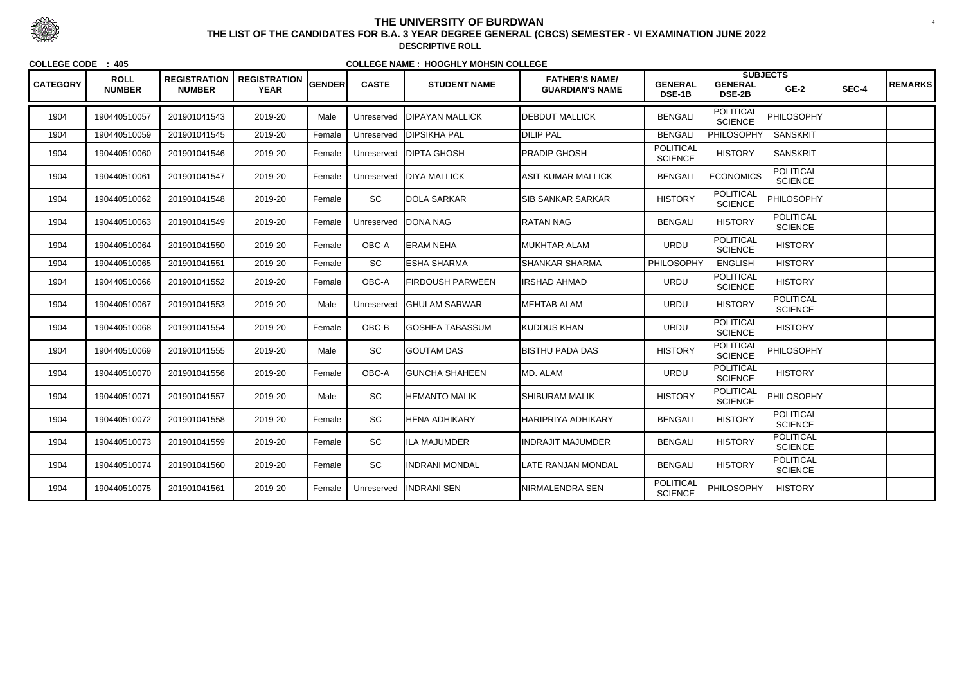| <b>CATEGORY</b> | <b>ROLL</b><br><b>NUMBER</b> | <b>REGISTRATION</b><br><b>NUMBER</b> | <b>REGISTRATION</b><br><b>YEAR</b> | <b>GENDER</b> | <b>CASTE</b> | <b>STUDENT NAME</b>     | <b>FATHER'S NAME/</b><br><b>GUARDIAN'S NAME</b> | <b>GENERAL</b><br>DSE-1B           | <b>GENERAL</b><br><b>DSE-2B</b>    | <b>SUBJECTS</b><br>$GE-2$          | SEC-4 | <b>REMARKS</b> |
|-----------------|------------------------------|--------------------------------------|------------------------------------|---------------|--------------|-------------------------|-------------------------------------------------|------------------------------------|------------------------------------|------------------------------------|-------|----------------|
| 1904            | 190440510057                 | 201901041543                         | 2019-20                            | Male          | Unreserved   | <b>IDIPAYAN MALLICK</b> | <b>DEBDUT MALLICK</b>                           | <b>BENGALI</b>                     | <b>POLITICAL</b><br><b>SCIENCE</b> | PHILOSOPHY                         |       |                |
| 1904            | 190440510059                 | 201901041545                         | 2019-20                            | Female        | Unreserved   | <b>DIPSIKHA PAL</b>     | <b>DILIP PAL</b>                                | <b>BENGALI</b>                     | <b>PHILOSOPHY</b>                  | <b>SANSKRIT</b>                    |       |                |
| 1904            | 190440510060                 | 201901041546                         | 2019-20                            | Female        | Unreserved   | <b>DIPTA GHOSH</b>      | <b>PRADIP GHOSH</b>                             | <b>POLITICAL</b><br><b>SCIENCE</b> | <b>HISTORY</b>                     | <b>SANSKRIT</b>                    |       |                |
| 1904            | 190440510061                 | 201901041547                         | 2019-20                            | Female        | Unreserved   | <b>IDIYA MALLICK</b>    | <b>ASIT KUMAR MALLICK</b>                       | <b>BENGALI</b>                     | <b>ECONOMICS</b>                   | <b>POLITICAL</b><br><b>SCIENCE</b> |       |                |
| 1904            | 190440510062                 | 201901041548                         | 2019-20                            | Female        | SC           | <b>DOLA SARKAR</b>      | <b>SIB SANKAR SARKAR</b>                        | <b>HISTORY</b>                     | <b>POLITICAL</b><br><b>SCIENCE</b> | PHILOSOPHY                         |       |                |
| 1904            | 190440510063                 | 201901041549                         | 2019-20                            | Female        | Unreserved   | <b>DONA NAG</b>         | <b>RATAN NAG</b>                                | <b>BENGALI</b>                     | <b>HISTORY</b>                     | <b>POLITICAL</b><br><b>SCIENCE</b> |       |                |
| 1904            | 190440510064                 | 201901041550                         | 2019-20                            | Female        | OBC-A        | <b>ERAM NEHA</b>        | <b>MUKHTAR ALAM</b>                             | <b>URDU</b>                        | <b>POLITICAL</b><br><b>SCIENCE</b> | <b>HISTORY</b>                     |       |                |
| 1904            | 190440510065                 | 201901041551                         | 2019-20                            | Female        | SC           | <b>ESHA SHARMA</b>      | <b>SHANKAR SHARMA</b>                           | <b>PHILOSOPHY</b>                  | <b>ENGLISH</b>                     | <b>HISTORY</b>                     |       |                |
| 1904            | 190440510066                 | 201901041552                         | 2019-20                            | Female        | OBC-A        | <b>FIRDOUSH PARWEEN</b> | <b>IRSHAD AHMAD</b>                             | <b>URDU</b>                        | <b>POLITICAL</b><br><b>SCIENCE</b> | <b>HISTORY</b>                     |       |                |
| 1904            | 190440510067                 | 201901041553                         | 2019-20                            | Male          | Unreserved   | <b>IGHULAM SARWAR</b>   | <b>MEHTAB ALAM</b>                              | <b>URDU</b>                        | <b>HISTORY</b>                     | <b>POLITICAL</b><br><b>SCIENCE</b> |       |                |
| 1904            | 190440510068                 | 201901041554                         | 2019-20                            | Female        | OBC-B        | <b>IGOSHEA TABASSUM</b> | <b>KUDDUS KHAN</b>                              | <b>URDU</b>                        | <b>POLITICAL</b><br><b>SCIENCE</b> | <b>HISTORY</b>                     |       |                |
| 1904            | 190440510069                 | 201901041555                         | 2019-20                            | Male          | SC           | <b>GOUTAM DAS</b>       | <b>BISTHU PADA DAS</b>                          | <b>HISTORY</b>                     | <b>POLITICAL</b><br><b>SCIENCE</b> | PHILOSOPHY                         |       |                |
| 1904            | 190440510070                 | 201901041556                         | 2019-20                            | Female        | OBC-A        | <b>IGUNCHA SHAHEEN</b>  | MD. ALAM                                        | <b>URDU</b>                        | <b>POLITICAL</b><br><b>SCIENCE</b> | <b>HISTORY</b>                     |       |                |
| 1904            | 190440510071                 | 201901041557                         | 2019-20                            | Male          | SC           | IHEMANTO MALIK          | <b>SHIBURAM MALIK</b>                           | <b>HISTORY</b>                     | <b>POLITICAL</b><br><b>SCIENCE</b> | PHILOSOPHY                         |       |                |
| 1904            | 190440510072                 | 201901041558                         | 2019-20                            | Female        | SC           | HENA ADHIKARY           | <b>HARIPRIYA ADHIKARY</b>                       | <b>BENGALI</b>                     | <b>HISTORY</b>                     | <b>POLITICAL</b><br><b>SCIENCE</b> |       |                |
| 1904            | 190440510073                 | 201901041559                         | 2019-20                            | Female        | SC           | <b>ILA MAJUMDER</b>     | <b>INDRAJIT MAJUMDER</b>                        | <b>BENGALI</b>                     | <b>HISTORY</b>                     | <b>POLITICAL</b><br><b>SCIENCE</b> |       |                |
| 1904            | 190440510074                 | 201901041560                         | 2019-20                            | Female        | SC           | <b>INDRANI MONDAL</b>   | LATE RANJAN MONDAL                              | <b>BENGALI</b>                     | <b>HISTORY</b>                     | <b>POLITICAL</b><br><b>SCIENCE</b> |       |                |
| 1904            | 190440510075                 | 201901041561                         | 2019-20                            | Female        | Unreserved   | <b>INDRANI SEN</b>      | NIRMALENDRA SEN                                 | <b>POLITICAL</b><br><b>SCIENCE</b> | PHILOSOPHY                         | <b>HISTORY</b>                     |       |                |



 <sup>4</sup> **THE LIST OF THE CANDIDATES FOR B.A. 3 YEAR DEGREE GENERAL (CBCS) SEMESTER - VI EXAMINATION JUNE 2022DESCRIPTIVE ROLL**

**COLLEGE CODE : 405**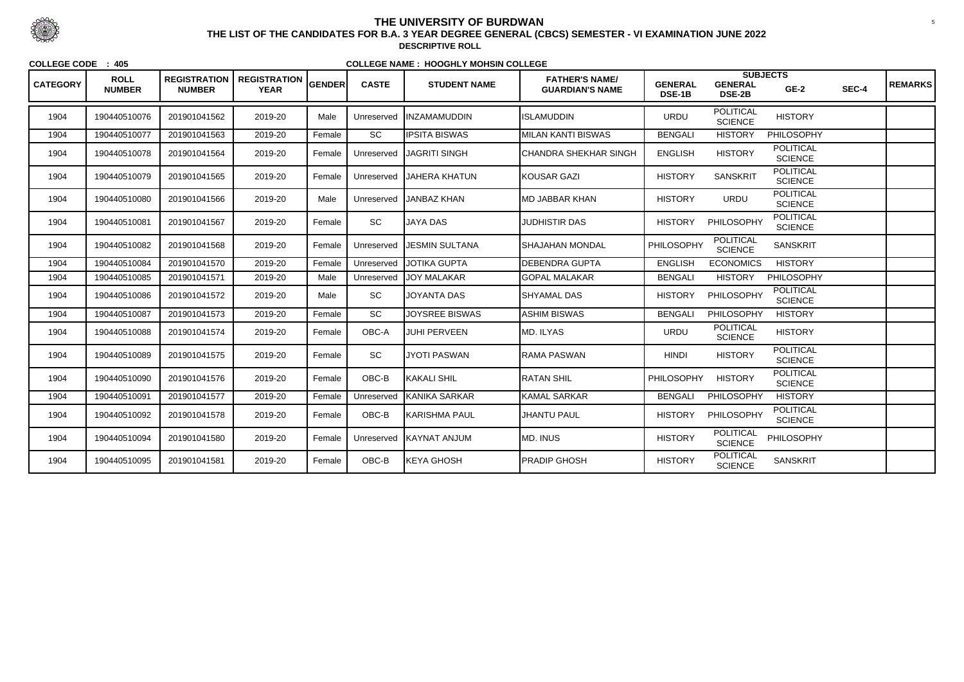| <b>CATEGORY</b> | <b>ROLL</b><br><b>NUMBER</b> | <b>REGISTRATION</b><br><b>NUMBER</b> | <b>REGISTRATION</b><br><b>YEAR</b> | <b>GENDER</b> | <b>CASTE</b> | <b>STUDENT NAME</b>   | <b>FATHER'S NAME/</b><br><b>GUARDIAN'S NAME</b> | <b>GENERAL</b><br><b>DSE-1B</b> | <b>SUBJECTS</b><br><b>GENERAL</b><br><b>DSE-2B</b> | $GE-2$                             | SEC-4 | <b>REMARKS</b> |
|-----------------|------------------------------|--------------------------------------|------------------------------------|---------------|--------------|-----------------------|-------------------------------------------------|---------------------------------|----------------------------------------------------|------------------------------------|-------|----------------|
| 1904            | 190440510076                 | 201901041562                         | 2019-20                            | Male          | Unreserved   | <b>INZAMAMUDDIN</b>   | <b>ISLAMUDDIN</b>                               | <b>URDU</b>                     | <b>POLITICAL</b><br><b>SCIENCE</b>                 | <b>HISTORY</b>                     |       |                |
| 1904            | 190440510077                 | 201901041563                         | 2019-20                            | Female        | <b>SC</b>    | <b>IPSITA BISWAS</b>  | <b>MILAN KANTI BISWAS</b>                       | <b>BENGALI</b>                  | <b>HISTORY</b>                                     | <b>PHILOSOPHY</b>                  |       |                |
| 1904            | 190440510078                 | 201901041564                         | 2019-20                            | Female        | Unreserved   | <b>JAGRITI SINGH</b>  | <b>CHANDRA SHEKHAR SINGH</b>                    | <b>ENGLISH</b>                  | <b>HISTORY</b>                                     | <b>POLITICAL</b><br><b>SCIENCE</b> |       |                |
| 1904            | 190440510079                 | 201901041565                         | 2019-20                            | Female        | Unreserved   | JAHERA KHATUN         | <b>KOUSAR GAZI</b>                              | <b>HISTORY</b>                  | <b>SANSKRIT</b>                                    | <b>POLITICAL</b><br><b>SCIENCE</b> |       |                |
| 1904            | 190440510080                 | 201901041566                         | 2019-20                            | Male          | Unreserved   | <b>JANBAZ KHAN</b>    | <b>MD JABBAR KHAN</b>                           | <b>HISTORY</b>                  | <b>URDU</b>                                        | <b>POLITICAL</b><br><b>SCIENCE</b> |       |                |
| 1904            | 190440510081                 | 201901041567                         | 2019-20                            | Female        | SC           | <b>JAYA DAS</b>       | <b>JUDHISTIR DAS</b>                            | <b>HISTORY</b>                  | PHILOSOPHY                                         | <b>POLITICAL</b><br><b>SCIENCE</b> |       |                |
| 1904            | 190440510082                 | 201901041568                         | 2019-20                            | Female        | Unreserved   | <b>JESMIN SULTANA</b> | İSHAJAHAN MONDAL                                | PHILOSOPHY                      | <b>POLITICAL</b><br><b>SCIENCE</b>                 | <b>SANSKRIT</b>                    |       |                |
| 1904            | 190440510084                 | 201901041570                         | 2019-20                            | Female        | Unreserved   | <b>JOTIKA GUPTA</b>   | <b>DEBENDRA GUPTA</b>                           | <b>ENGLISH</b>                  | <b>ECONOMICS</b>                                   | <b>HISTORY</b>                     |       |                |
| 1904            | 190440510085                 | 201901041571                         | 2019-20                            | Male          | Unreserved   | <b>JOY MALAKAR</b>    | <b>GOPAL MALAKAR</b>                            | <b>BENGALI</b>                  | <b>HISTORY</b>                                     | <b>PHILOSOPHY</b>                  |       |                |
| 1904            | 190440510086                 | 201901041572                         | 2019-20                            | Male          | SC           | <b>JOYANTA DAS</b>    | <b>SHYAMAL DAS</b>                              | <b>HISTORY</b>                  | PHILOSOPHY                                         | <b>POLITICAL</b><br><b>SCIENCE</b> |       |                |
| 1904            | 190440510087                 | 201901041573                         | 2019-20                            | Female        | SC           | <b>JOYSREE BISWAS</b> | <b>ASHIM BISWAS</b>                             | <b>BENGALI</b>                  | PHILOSOPHY                                         | <b>HISTORY</b>                     |       |                |
| 1904            | 190440510088                 | 201901041574                         | 2019-20                            | Female        | OBC-A        | <b>JUHI PERVEEN</b>   | MD. ILYAS                                       | <b>URDU</b>                     | <b>POLITICAL</b><br><b>SCIENCE</b>                 | <b>HISTORY</b>                     |       |                |
| 1904            | 190440510089                 | 201901041575                         | 2019-20                            | Female        | SC           | <b>JYOTI PASWAN</b>   | <b>RAMA PASWAN</b>                              | <b>HINDI</b>                    | <b>HISTORY</b>                                     | <b>POLITICAL</b><br><b>SCIENCE</b> |       |                |
| 1904            | 190440510090                 | 201901041576                         | 2019-20                            | Female        | OBC-B        | KAKALI SHIL           | <b>RATAN SHIL</b>                               | PHILOSOPHY                      | <b>HISTORY</b>                                     | <b>POLITICAL</b><br><b>SCIENCE</b> |       |                |
| 1904            | 190440510091                 | 201901041577                         | 2019-20                            | Female        | Unreserved   | KANIKA SARKAR         | <b>KAMAL SARKAR</b>                             | <b>BENGALI</b>                  | <b>PHILOSOPHY</b>                                  | <b>HISTORY</b>                     |       |                |
| 1904            | 190440510092                 | 201901041578                         | 2019-20                            | Female        | OBC-B        | KARISHMA PAUL         | <b>JHANTU PAUL</b>                              | <b>HISTORY</b>                  | PHILOSOPHY                                         | <b>POLITICAL</b><br><b>SCIENCE</b> |       |                |
| 1904            | 190440510094                 | 201901041580                         | 2019-20                            | Female        | Unreserved   | KAYNAT ANJUM          | <b>MD. INUS</b>                                 | <b>HISTORY</b>                  | <b>POLITICAL</b><br><b>SCIENCE</b>                 | PHILOSOPHY                         |       |                |
| 1904            | 190440510095                 | 201901041581                         | 2019-20                            | Female        | OBC-B        | KEYA GHOSH            | <b>PRADIP GHOSH</b>                             | <b>HISTORY</b>                  | <b>POLITICAL</b><br><b>SCIENCE</b>                 | <b>SANSKRIT</b>                    |       |                |



 <sup>5</sup> **THE LIST OF THE CANDIDATES FOR B.A. 3 YEAR DEGREE GENERAL (CBCS) SEMESTER - VI EXAMINATION JUNE 2022DESCRIPTIVE ROLL**

**COLLEGE CODE : 405**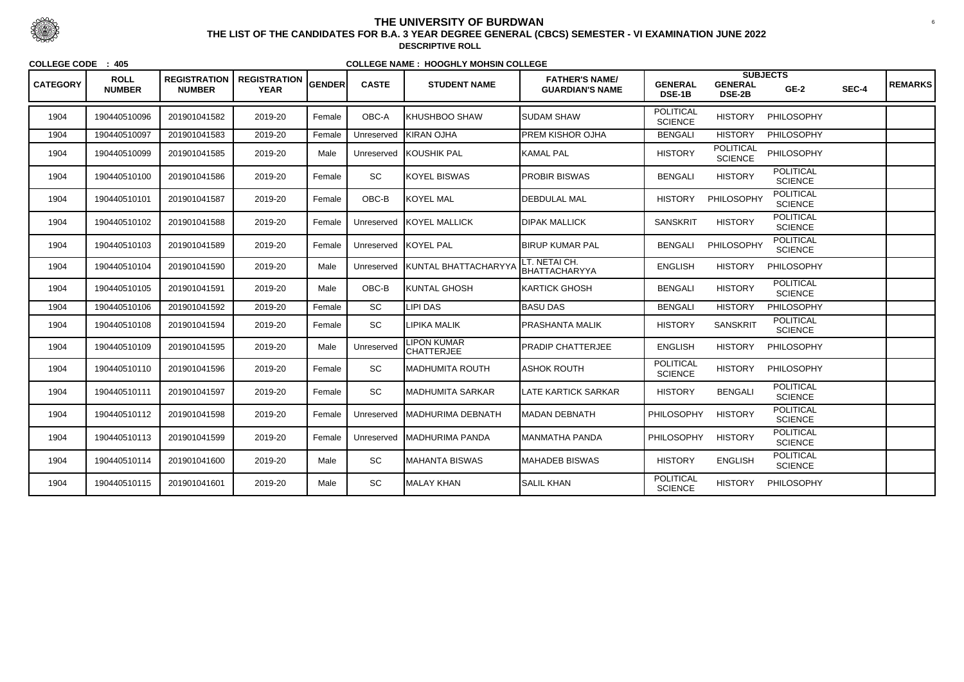| <b>CATEGORY</b> | <b>ROLL</b><br><b>NUMBER</b> | <b>REGISTRATION</b><br><b>NUMBER</b> | <b>REGISTRATION</b><br><b>YEAR</b> | <b>GENDER</b> | <b>CASTE</b> | <b>STUDENT NAME</b>                     | <b>FATHER'S NAME/</b><br><b>GUARDIAN'S NAME</b> | <b>GENERAL</b><br><b>DSE-1B</b>    | <b>GENERAL</b><br><b>DSE-2B</b>    | <b>SUBJECTS</b><br>$GE-2$          | SEC-4 | <b>REMARKS</b> |
|-----------------|------------------------------|--------------------------------------|------------------------------------|---------------|--------------|-----------------------------------------|-------------------------------------------------|------------------------------------|------------------------------------|------------------------------------|-------|----------------|
| 1904            | 190440510096                 | 201901041582                         | 2019-20                            | Female        | OBC-A        | <b>KHUSHBOO SHAW</b>                    | <b>SUDAM SHAW</b>                               | <b>POLITICAL</b><br><b>SCIENCE</b> | <b>HISTORY</b>                     | PHILOSOPHY                         |       |                |
| 1904            | 190440510097                 | 201901041583                         | 2019-20                            | Female        | Unreserved   | <b>KIRAN OJHA</b>                       | <b>PREM KISHOR OJHA</b>                         | <b>BENGALI</b>                     | <b>HISTORY</b>                     | PHILOSOPHY                         |       |                |
| 1904            | 190440510099                 | 201901041585                         | 2019-20                            | Male          | Unreserved   | KOUSHIK PAL                             | <b>KAMAL PAL</b>                                | <b>HISTORY</b>                     | <b>POLITICAL</b><br><b>SCIENCE</b> | PHILOSOPHY                         |       |                |
| 1904            | 190440510100                 | 201901041586                         | 2019-20                            | Female        | SC           | KOYEL BISWAS                            | <b>PROBIR BISWAS</b>                            | <b>BENGALI</b>                     | <b>HISTORY</b>                     | <b>POLITICAL</b><br><b>SCIENCE</b> |       |                |
| 1904            | 190440510101                 | 201901041587                         | 2019-20                            | Female        | OBC-B        | <b>KOYEL MAL</b>                        | <b>DEBDULAL MAL</b>                             | <b>HISTORY</b>                     | PHILOSOPHY                         | <b>POLITICAL</b><br><b>SCIENCE</b> |       |                |
| 1904            | 190440510102                 | 201901041588                         | 2019-20                            | Female        | Unreserved   | <b>KOYEL MALLICK</b>                    | <b>DIPAK MALLICK</b>                            | <b>SANSKRIT</b>                    | <b>HISTORY</b>                     | <b>POLITICAL</b><br><b>SCIENCE</b> |       |                |
| 1904            | 190440510103                 | 201901041589                         | 2019-20                            | Female        | Unreserved   | KOYEL PAL                               | <b>BIRUP KUMAR PAL</b>                          | <b>BENGALI</b>                     | PHILOSOPHY                         | <b>POLITICAL</b><br><b>SCIENCE</b> |       |                |
| 1904            | 190440510104                 | 201901041590                         | 2019-20                            | Male          | Unreserved   | <b>KUNTAL BHATTACHARYYA</b>             | LT. NETAI CH.<br>BHATTACHARYYA                  | <b>ENGLISH</b>                     | <b>HISTORY</b>                     | <b>PHILOSOPHY</b>                  |       |                |
| 1904            | 190440510105                 | 201901041591                         | 2019-20                            | Male          | OBC-B        | KUNTAL GHOSH                            | <b>KARTICK GHOSH</b>                            | <b>BENGALI</b>                     | <b>HISTORY</b>                     | <b>POLITICAL</b><br><b>SCIENCE</b> |       |                |
| 1904            | 190440510106                 | 201901041592                         | 2019-20                            | Female        | SC           | LIPI DAS                                | <b>BASU DAS</b>                                 | <b>BENGALI</b>                     | <b>HISTORY</b>                     | PHILOSOPHY                         |       |                |
| 1904            | 190440510108                 | 201901041594                         | 2019-20                            | Female        | SC           | <b>LIPIKA MALIK</b>                     | PRASHANTA MALIK                                 | <b>HISTORY</b>                     | <b>SANSKRIT</b>                    | <b>POLITICAL</b><br><b>SCIENCE</b> |       |                |
| 1904            | 190440510109                 | 201901041595                         | 2019-20                            | Male          | Unreserved   | <b>LIPON KUMAR</b><br><b>CHATTERJEE</b> | PRADIP CHATTERJEE                               | <b>ENGLISH</b>                     | <b>HISTORY</b>                     | PHILOSOPHY                         |       |                |
| 1904            | 190440510110                 | 201901041596                         | 2019-20                            | Female        | SC           | <b>MADHUMITA ROUTH</b>                  | <b>ASHOK ROUTH</b>                              | <b>POLITICAL</b><br><b>SCIENCE</b> | <b>HISTORY</b>                     | PHILOSOPHY                         |       |                |
| 1904            | 190440510111                 | 201901041597                         | 2019-20                            | Female        | SC           | <b>MADHUMITA SARKAR</b>                 | <b>LATE KARTICK SARKAR</b>                      | <b>HISTORY</b>                     | <b>BENGALI</b>                     | <b>POLITICAL</b><br><b>SCIENCE</b> |       |                |
| 1904            | 190440510112                 | 201901041598                         | 2019-20                            | Female        | Unreserved   | <b>IMADHURIMA DEBNATH</b>               | <b>MADAN DEBNATH</b>                            | <b>PHILOSOPHY</b>                  | <b>HISTORY</b>                     | <b>POLITICAL</b><br><b>SCIENCE</b> |       |                |
| 1904            | 190440510113                 | 201901041599                         | 2019-20                            | Female        |              | Unreserved MADHURIMA PANDA              | MANMATHA PANDA                                  | PHILOSOPHY                         | <b>HISTORY</b>                     | <b>POLITICAL</b><br><b>SCIENCE</b> |       |                |
| 1904            | 190440510114                 | 201901041600                         | 2019-20                            | Male          | SC           | MAHANTA BISWAS                          | MAHADEB BISWAS                                  | <b>HISTORY</b>                     | <b>ENGLISH</b>                     | <b>POLITICAL</b><br><b>SCIENCE</b> |       |                |
| 1904            | 190440510115                 | 201901041601                         | 2019-20                            | Male          | SC           | MALAY KHAN                              | <b>SALIL KHAN</b>                               | <b>POLITICAL</b><br><b>SCIENCE</b> | <b>HISTORY</b>                     | <b>PHILOSOPHY</b>                  |       |                |



 <sup>6</sup> **THE LIST OF THE CANDIDATES FOR B.A. 3 YEAR DEGREE GENERAL (CBCS) SEMESTER - VI EXAMINATION JUNE 2022DESCRIPTIVE ROLL**

**COLLEGE CODE : 405**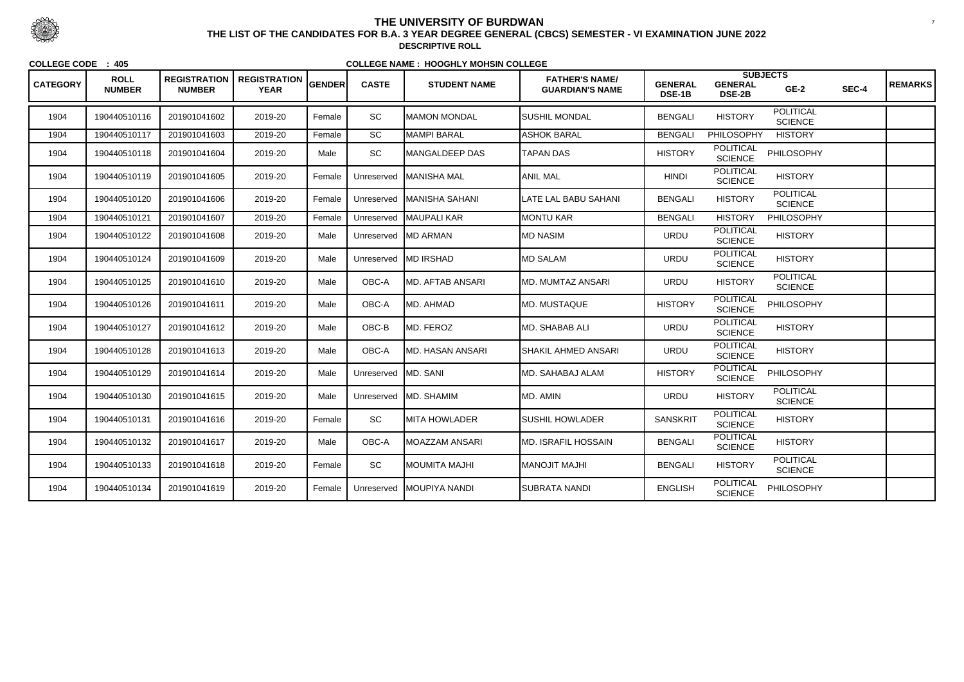| <b>CATEGORY</b> | <b>ROLL</b><br><b>NUMBER</b> | <b>REGISTRATION</b><br><b>NUMBER</b> | , REGISTRATION $ _{\sf GENDER}$<br><b>YEAR</b> |        | <b>CASTE</b>        | <b>STUDENT NAME</b>         | <b>FATHER'S NAME/</b><br><b>GUARDIAN'S NAME</b> | <b>GENERAL</b><br>DSE-1B | <b>GENERAL</b><br><b>DSE-2B</b>    | <b>SUBJECTS</b><br>$GE-2$          | SEC-4 | <b>REMARKS</b> |
|-----------------|------------------------------|--------------------------------------|------------------------------------------------|--------|---------------------|-----------------------------|-------------------------------------------------|--------------------------|------------------------------------|------------------------------------|-------|----------------|
| 1904            | 190440510116                 | 201901041602                         | 2019-20                                        | Female | <b>SC</b>           | <b>MAMON MONDAL</b>         | SUSHIL MONDAL                                   | <b>BENGALI</b>           | <b>HISTORY</b>                     | <b>POLITICAL</b><br><b>SCIENCE</b> |       |                |
| 1904            | 190440510117                 | 201901041603                         | 2019-20                                        | Female | SC                  | MAMPI BARAL                 | <b>ASHOK BARAL</b>                              | <b>BENGALI</b>           | PHILOSOPHY                         | <b>HISTORY</b>                     |       |                |
| 1904            | 190440510118                 | 201901041604                         | 2019-20                                        | Male   | SC                  | <b>IMANGALDEEP DAS</b>      | <b>TAPAN DAS</b>                                | <b>HISTORY</b>           | <b>POLITICAL</b><br><b>SCIENCE</b> | PHILOSOPHY                         |       |                |
| 1904            | 190440510119                 | 201901041605                         | 2019-20                                        | Female | Unreserved          | <b>MANISHA MAL</b>          | <b>ANIL MAL</b>                                 | <b>HINDI</b>             | <b>POLITICAL</b><br><b>SCIENCE</b> | <b>HISTORY</b>                     |       |                |
| 1904            | 190440510120                 | 201901041606                         | 2019-20                                        | Female |                     | Unreserved   MANISHA SAHANI | LATE LAL BABU SAHANI                            | <b>BENGALI</b>           | <b>HISTORY</b>                     | <b>POLITICAL</b><br><b>SCIENCE</b> |       |                |
| 1904            | 190440510121                 | 201901041607                         | 2019-20                                        | Female | Unreserved          | MAUPALI KAR                 | <b>MONTU KAR</b>                                | <b>BENGALI</b>           | <b>HISTORY</b>                     | PHILOSOPHY                         |       |                |
| 1904            | 190440510122                 | 201901041608                         | 2019-20                                        | Male   | Unreserved          | <b>IMD ARMAN</b>            | MD NASIM                                        | <b>URDU</b>              | <b>POLITICAL</b><br><b>SCIENCE</b> | <b>HISTORY</b>                     |       |                |
| 1904            | 190440510124                 | 201901041609                         | 2019-20                                        | Male   |                     | Unreserved MD IRSHAD        | <b>MD SALAM</b>                                 | <b>URDU</b>              | <b>POLITICAL</b><br><b>SCIENCE</b> | <b>HISTORY</b>                     |       |                |
| 1904            | 190440510125                 | 201901041610                         | 2019-20                                        | Male   | OBC-A               | <b>IMD. AFTAB ANSARI</b>    | <b>MD. MUMTAZ ANSARI</b>                        | <b>URDU</b>              | <b>HISTORY</b>                     | <b>POLITICAL</b><br><b>SCIENCE</b> |       |                |
| 1904            | 190440510126                 | 201901041611                         | 2019-20                                        | Male   | OBC-A               | <b>I</b> MD. AHMAD          | <b>MD. MUSTAQUE</b>                             | <b>HISTORY</b>           | <b>POLITICAL</b><br><b>SCIENCE</b> | <b>PHILOSOPHY</b>                  |       |                |
| 1904            | 190440510127                 | 201901041612                         | 2019-20                                        | Male   | $OBC-B$             | MD. FEROZ                   | <b>MD. SHABAB ALI</b>                           | <b>URDU</b>              | <b>POLITICAL</b><br><b>SCIENCE</b> | <b>HISTORY</b>                     |       |                |
| 1904            | 190440510128                 | 201901041613                         | 2019-20                                        | Male   | OBC-A               | <b>MD. HASAN ANSARI</b>     | <b>SHAKIL AHMED ANSARI</b>                      | <b>URDU</b>              | <b>POLITICAL</b><br><b>SCIENCE</b> | <b>HISTORY</b>                     |       |                |
| 1904            | 190440510129                 | 201901041614                         | 2019-20                                        | Male   | Unreserved MD. SANI |                             | MD. SAHABAJ ALAM                                | <b>HISTORY</b>           | <b>POLITICAL</b><br><b>SCIENCE</b> | PHILOSOPHY                         |       |                |
| 1904            | 190440510130                 | 201901041615                         | 2019-20                                        | Male   |                     | Unreserved MD. SHAMIM       | MD. AMIN                                        | <b>URDU</b>              | <b>HISTORY</b>                     | <b>POLITICAL</b><br><b>SCIENCE</b> |       |                |
| 1904            | 190440510131                 | 201901041616                         | 2019-20                                        | Female | SC                  | <b>MITA HOWLADER</b>        | <b>SUSHIL HOWLADER</b>                          | <b>SANSKRIT</b>          | <b>POLITICAL</b><br><b>SCIENCE</b> | <b>HISTORY</b>                     |       |                |
| 1904            | 190440510132                 | 201901041617                         | 2019-20                                        | Male   | OBC-A               | MOAZZAM ANSARI              | MD. ISRAFIL HOSSAIN                             | <b>BENGALI</b>           | <b>POLITICAL</b><br><b>SCIENCE</b> | <b>HISTORY</b>                     |       |                |
| 1904            | 190440510133                 | 201901041618                         | 2019-20                                        | Female | SC                  | <b>INOUMITA MAJHI</b>       | IHLAM TILONAM                                   | <b>BENGALI</b>           | <b>HISTORY</b>                     | <b>POLITICAL</b><br><b>SCIENCE</b> |       |                |
| 1904            | 190440510134                 | 201901041619                         | 2019-20                                        | Female | Unreserved          | <b>MOUPIYA NANDI</b>        | SUBRATA NANDI                                   | <b>ENGLISH</b>           | <b>POLITICAL</b><br><b>SCIENCE</b> | PHILOSOPHY                         |       |                |



 <sup>7</sup> **THE LIST OF THE CANDIDATES FOR B.A. 3 YEAR DEGREE GENERAL (CBCS) SEMESTER - VI EXAMINATION JUNE 2022DESCRIPTIVE ROLL**

**COLLEGE CODE : 405**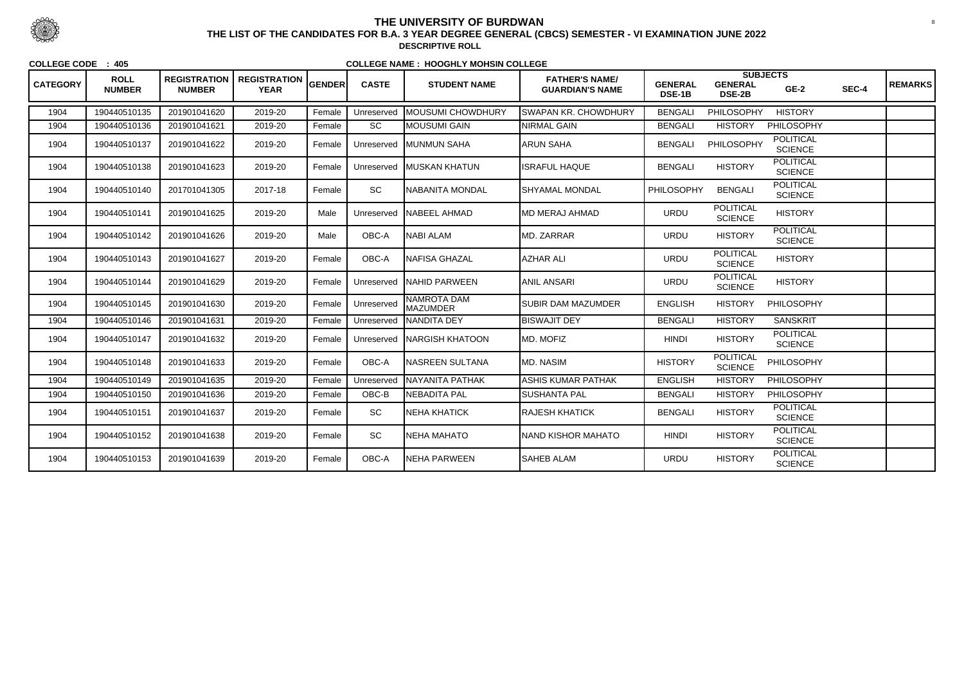| <b>CATEGORY</b> | <b>ROLL</b><br><b>NUMBER</b> | <b>REGISTRATION</b><br><b>NUMBER</b> | <b>REGISTRATION</b><br><b>YEAR</b> | GENDER | <b>CASTE</b> | <b>STUDENT NAME</b>                     | <b>FATHER'S NAME/</b><br><b>GUARDIAN'S NAME</b> | <b>GENERAL</b><br>DSE-1B | <b>GENERAL</b><br><b>DSE-2B</b>    | <b>SUBJECTS</b><br>$GE-2$          | SEC-4 | <b>REMARKS</b> |
|-----------------|------------------------------|--------------------------------------|------------------------------------|--------|--------------|-----------------------------------------|-------------------------------------------------|--------------------------|------------------------------------|------------------------------------|-------|----------------|
| 1904            | 190440510135                 | 201901041620                         | 2019-20                            | Female | Unreserved   | <b>MOUSUMI CHOWDHURY</b>                | <b>SWAPAN KR. CHOWDHURY</b>                     | <b>BENGALI</b>           | <b>PHILOSOPHY</b>                  | <b>HISTORY</b>                     |       |                |
| 1904            | 190440510136                 | 201901041621                         | 2019-20                            | Female | <b>SC</b>    | MOUSUMI GAIN                            | NIRMAL GAIN                                     | <b>BENGALI</b>           | <b>HISTORY</b>                     | <b>PHILOSOPHY</b>                  |       |                |
| 1904            | 190440510137                 | 201901041622                         | 2019-20                            | Female | Unreserved   | <b>IMUNMUN SAHA</b>                     | <b>ARUN SAHA</b>                                | <b>BENGALI</b>           | PHILOSOPHY                         | <b>POLITICAL</b><br><b>SCIENCE</b> |       |                |
| 1904            | 190440510138                 | 201901041623                         | 2019-20                            | Female | Unreserved   | <b>IMUSKAN KHATUN</b>                   | <b>ISRAFUL HAQUE</b>                            | <b>BENGALI</b>           | <b>HISTORY</b>                     | <b>POLITICAL</b><br><b>SCIENCE</b> |       |                |
| 1904            | 190440510140                 | 201701041305                         | 2017-18                            | Female | <b>SC</b>    | NABANITA MONDAL                         | <b>SHYAMAL MONDAL</b>                           | PHILOSOPHY               | <b>BENGALI</b>                     | <b>POLITICAL</b><br><b>SCIENCE</b> |       |                |
| 1904            | 190440510141                 | 201901041625                         | 2019-20                            | Male   | Unreserved   | NABEEL AHMAD                            | <b>MD MERAJ AHMAD</b>                           | <b>URDU</b>              | <b>POLITICAL</b><br><b>SCIENCE</b> | <b>HISTORY</b>                     |       |                |
| 1904            | 190440510142                 | 201901041626                         | 2019-20                            | Male   | OBC-A        | NABI ALAM                               | MD. ZARRAR                                      | <b>URDU</b>              | <b>HISTORY</b>                     | <b>POLITICAL</b><br><b>SCIENCE</b> |       |                |
| 1904            | 190440510143                 | 201901041627                         | 2019-20                            | Female | OBC-A        | <b>NAFISA GHAZAL</b>                    | <b>AZHAR ALI</b>                                | <b>URDU</b>              | <b>POLITICAL</b><br><b>SCIENCE</b> | <b>HISTORY</b>                     |       |                |
| 1904            | 190440510144                 | 201901041629                         | 2019-20                            | Female | Unreserved   | NAHID PARWEEN                           | ANIL ANSARI                                     | <b>URDU</b>              | <b>POLITICAL</b><br><b>SCIENCE</b> | <b>HISTORY</b>                     |       |                |
| 1904            | 190440510145                 | 201901041630                         | 2019-20                            | Female | Unreserved   | <b>NAMROTA DAM</b><br><b>I</b> MAZUMDER | <b>SUBIR DAM MAZUMDER</b>                       | <b>ENGLISH</b>           | <b>HISTORY</b>                     | <b>PHILOSOPHY</b>                  |       |                |
| 1904            | 190440510146                 | 201901041631                         | 2019-20                            | Female | Unreserved   | <b>NANDITA DEY</b>                      | <b>BISWAJIT DEY</b>                             | <b>BENGALI</b>           | <b>HISTORY</b>                     | <b>SANSKRIT</b>                    |       |                |
| 1904            | 190440510147                 | 201901041632                         | 2019-20                            | Female | Unreserved   | INARGISH KHATOON                        | <b>MD. MOFIZ</b>                                | <b>HINDI</b>             | <b>HISTORY</b>                     | <b>POLITICAL</b><br><b>SCIENCE</b> |       |                |
| 1904            | 190440510148                 | 201901041633                         | 2019-20                            | Female | OBC-A        | <b>NASREEN SULTANA</b>                  | <b>MD. NASIM</b>                                | <b>HISTORY</b>           | <b>POLITICAL</b><br><b>SCIENCE</b> | <b>PHILOSOPHY</b>                  |       |                |
| 1904            | 190440510149                 | 201901041635                         | 2019-20                            | Female | Unreserved   | <b>NAYANITA PATHAK</b>                  | <b>ASHIS KUMAR PATHAK</b>                       | <b>ENGLISH</b>           | <b>HISTORY</b>                     | PHILOSOPHY                         |       |                |
| 1904            | 190440510150                 | 201901041636                         | 2019-20                            | Female | OBC-B        | <b>I</b> NEBADITA PAL                   | <b>SUSHANTA PAL</b>                             | <b>BENGALI</b>           | <b>HISTORY</b>                     | <b>PHILOSOPHY</b>                  |       |                |
| 1904            | 190440510151                 | 201901041637                         | 2019-20                            | Female | SC           | NEHA KHATICK                            | <b>RAJESH KHATICK</b>                           | <b>BENGALI</b>           | <b>HISTORY</b>                     | <b>POLITICAL</b><br><b>SCIENCE</b> |       |                |
| 1904            | 190440510152                 | 201901041638                         | 2019-20                            | Female | SC           | NEHA MAHATO                             | NAND KISHOR MAHATO                              | <b>HINDI</b>             | <b>HISTORY</b>                     | <b>POLITICAL</b><br><b>SCIENCE</b> |       |                |
| 1904            | 190440510153                 | 201901041639                         | 2019-20                            | Female | OBC-A        | NEHA PARWEEN                            | <b>SAHEB ALAM</b>                               | <b>URDU</b>              | <b>HISTORY</b>                     | <b>POLITICAL</b><br><b>SCIENCE</b> |       |                |



## **THE UNIVERSITY OF BURDWAN**<sup>8</sup> **THE LIST OF THE CANDIDATES FOR B.A. 3 YEAR DEGREE GENERAL (CBCS) SEMESTER - VI EXAMINATION JUNE 2022**

**DESCRIPTIVE ROLL**

**COLLEGE CODE : 405**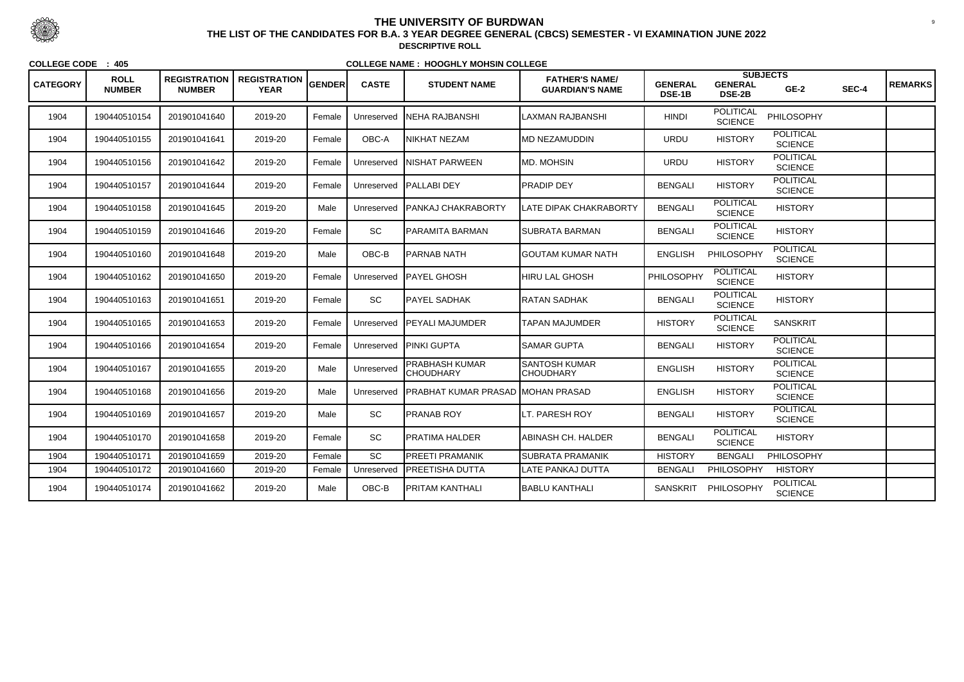| <b>CATEGORY</b> | <b>ROLL</b><br><b>NUMBER</b> | <b>REGISTRATION</b><br><b>NUMBER</b> | <b>REGISTRATION</b><br><b>YEAR</b> | GENDER | <b>CASTE</b> | <b>STUDENT NAME</b>                       | <b>FATHER'S NAME/</b><br><b>GUARDIAN'S NAME</b> | <b>GENERAL</b><br>DSE-1B | <b>SUBJECTS</b><br><b>GENERAL</b><br><b>DSE-2B</b> | $GE-2$                             | SEC-4 | <b>REMARKS</b> |
|-----------------|------------------------------|--------------------------------------|------------------------------------|--------|--------------|-------------------------------------------|-------------------------------------------------|--------------------------|----------------------------------------------------|------------------------------------|-------|----------------|
| 1904            | 190440510154                 | 201901041640                         | 2019-20                            | Female | Unreserved   | <b>NEHA RAJBANSHI</b>                     | LAXMAN RAJBANSHI                                | <b>HINDI</b>             | <b>POLITICAL</b><br><b>SCIENCE</b>                 | PHILOSOPHY                         |       |                |
| 1904            | 190440510155                 | 201901041641                         | 2019-20                            | Female | OBC-A        | NIKHAT NEZAM                              | MD NEZAMUDDIN                                   | <b>URDU</b>              | <b>HISTORY</b>                                     | <b>POLITICAL</b><br><b>SCIENCE</b> |       |                |
| 1904            | 190440510156                 | 201901041642                         | 2019-20                            | Female | Unreserved   | <b>INISHAT PARWEEN</b>                    | MD. MOHSIN                                      | <b>URDU</b>              | <b>HISTORY</b>                                     | <b>POLITICAL</b><br><b>SCIENCE</b> |       |                |
| 1904            | 190440510157                 | 201901041644                         | 2019-20                            | Female | Unreserved   | <b>PALLABI DEY</b>                        | PRADIP DEY                                      | <b>BENGALI</b>           | <b>HISTORY</b>                                     | <b>POLITICAL</b><br><b>SCIENCE</b> |       |                |
| 1904            | 190440510158                 | 201901041645                         | 2019-20                            | Male   | Unreserved   | <b>PANKAJ CHAKRABORTY</b>                 | LATE DIPAK CHAKRABORTY                          | <b>BENGALI</b>           | <b>POLITICAL</b><br><b>SCIENCE</b>                 | <b>HISTORY</b>                     |       |                |
| 1904            | 190440510159                 | 201901041646                         | 2019-20                            | Female | SC           | PARAMITA BARMAN                           | <b>I</b> SUBRATA BARMAN                         | <b>BENGALI</b>           | <b>POLITICAL</b><br><b>SCIENCE</b>                 | <b>HISTORY</b>                     |       |                |
| 1904            | 190440510160                 | 201901041648                         | 2019-20                            | Male   | $OBC-B$      | PARNAB NATH                               | IGOUTAM KUMAR NATH                              | <b>ENGLISH</b>           | PHILOSOPHY                                         | POLITICAL<br><b>SCIENCE</b>        |       |                |
| 1904            | 190440510162                 | 201901041650                         | 2019-20                            | Female | Unreserved   | PAYEL GHOSH                               | <b>HIRU LAL GHOSH</b>                           | PHILOSOPHY               | <b>POLITICAL</b><br><b>SCIENCE</b>                 | <b>HISTORY</b>                     |       |                |
| 1904            | 190440510163                 | 201901041651                         | 2019-20                            | Female | <b>SC</b>    | <b>PAYEL SADHAK</b>                       | RATAN SADHAK                                    | <b>BENGALI</b>           | <b>POLITICAL</b><br><b>SCIENCE</b>                 | <b>HISTORY</b>                     |       |                |
| 1904            | 190440510165                 | 201901041653                         | 2019-20                            | Female | Unreserved   | <b>IPEYALI MAJUMDER</b>                   | TAPAN MAJUMDER                                  | <b>HISTORY</b>           | <b>POLITICAL</b><br><b>SCIENCE</b>                 | <b>SANSKRIT</b>                    |       |                |
| 1904            | 190440510166                 | 201901041654                         | 2019-20                            | Female | Unreserved   | <b>PINKI GUPTA</b>                        | <b>SAMAR GUPTA</b>                              | <b>BENGALI</b>           | <b>HISTORY</b>                                     | <b>POLITICAL</b><br><b>SCIENCE</b> |       |                |
| 1904            | 190440510167                 | 201901041655                         | 2019-20                            | Male   | Unreserved   | <b>PRABHASH KUMAR</b><br><b>CHOUDHARY</b> | <b>SANTOSH KUMAR</b><br><b>CHOUDHARY</b>        | <b>ENGLISH</b>           | <b>HISTORY</b>                                     | <b>POLITICAL</b><br><b>SCIENCE</b> |       |                |
| 1904            | 190440510168                 | 201901041656                         | 2019-20                            | Male   | Unreserved   | <b>PRABHAT KUMAR PRASAD MOHAN PRASAD</b>  |                                                 | <b>ENGLISH</b>           | <b>HISTORY</b>                                     | <b>POLITICAL</b><br><b>SCIENCE</b> |       |                |
| 1904            | 190440510169                 | 201901041657                         | 2019-20                            | Male   | SC           | <b>PRANAB ROY</b>                         | LT. PARESH ROY                                  | <b>BENGALI</b>           | <b>HISTORY</b>                                     | <b>POLITICAL</b><br><b>SCIENCE</b> |       |                |
| 1904            | 190440510170                 | 201901041658                         | 2019-20                            | Female | SC           | <b>PRATIMA HALDER</b>                     | ABINASH CH. HALDER                              | <b>BENGALI</b>           | <b>POLITICAL</b><br><b>SCIENCE</b>                 | <b>HISTORY</b>                     |       |                |
| 1904            | 190440510171                 | 201901041659                         | 2019-20                            | Female | SC           | <b>PREETI PRAMANIK</b>                    | <b>SUBRATA PRAMANIK</b>                         | <b>HISTORY</b>           | <b>BENGALI</b>                                     | PHILOSOPHY                         |       |                |
| 1904            | 190440510172                 | 201901041660                         | 2019-20                            | Female | Unreserved   | <b>PREETISHA DUTTA</b>                    | LATE PANKAJ DUTTA                               | <b>BENGALI</b>           | PHILOSOPHY                                         | <b>HISTORY</b>                     |       |                |
| 1904            | 190440510174                 | 201901041662                         | 2019-20                            | Male   | $OBC-B$      | <b>PRITAM KANTHALI</b>                    | <b>BABLU KANTHALI</b>                           | <b>SANSKRIT</b>          | PHILOSOPHY                                         | <b>POLITICAL</b><br><b>SCIENCE</b> |       |                |



 <sup>9</sup> **THE LIST OF THE CANDIDATES FOR B.A. 3 YEAR DEGREE GENERAL (CBCS) SEMESTER - VI EXAMINATION JUNE 2022DESCRIPTIVE ROLL**

**COLLEGE CODE : 405**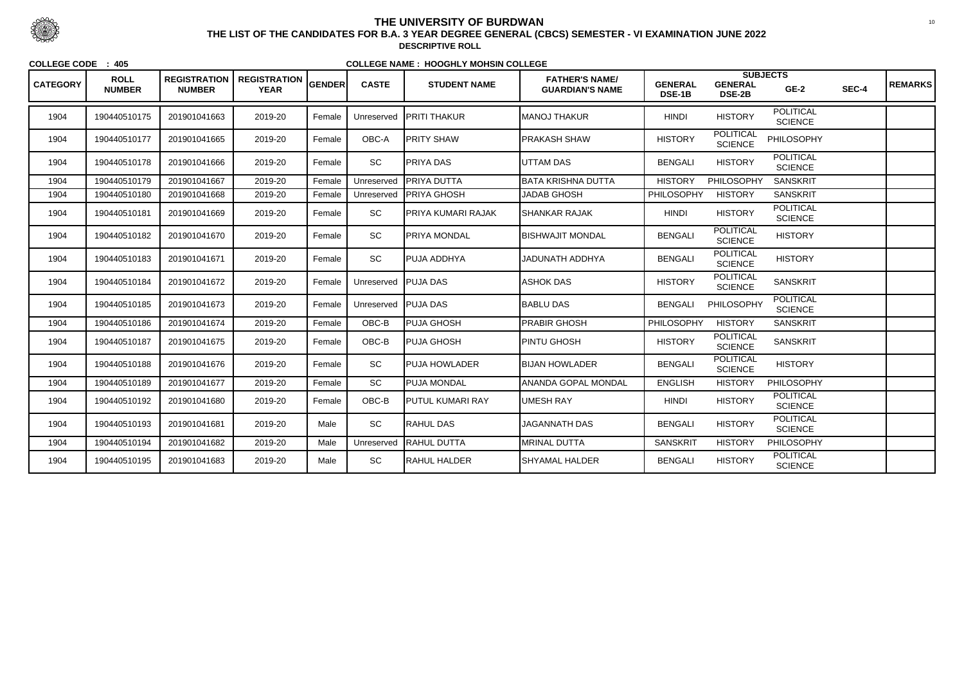| <b>CATEGORY</b> | <b>ROLL</b><br><b>NUMBER</b> | <b>REGISTRATION</b><br><b>NUMBER</b> | <b>REGISTRATION  </b><br><b>YEAR</b> | <b>GENDER</b> | <b>CASTE</b> | <b>STUDENT NAME</b>  | <b>FATHER'S NAME/</b><br><b>GUARDIAN'S NAME</b> | <b>GENERAL</b><br><b>DSE-1B</b> | <b>GENERAL</b><br><b>DSE-2B</b>    | <b>SUBJECTS</b><br>$GE-2$          | SEC-4 | <b>REMARKS</b> |
|-----------------|------------------------------|--------------------------------------|--------------------------------------|---------------|--------------|----------------------|-------------------------------------------------|---------------------------------|------------------------------------|------------------------------------|-------|----------------|
| 1904            | 190440510175                 | 201901041663                         | 2019-20                              | Female        | Unreserved   | <b>IPRITI THAKUR</b> | <b>MANOJ THAKUR</b>                             | <b>HINDI</b>                    | <b>HISTORY</b>                     | <b>POLITICAL</b><br><b>SCIENCE</b> |       |                |
| 1904            | 190440510177                 | 201901041665                         | 2019-20                              | Female        | OBC-A        | <b>PRITY SHAW</b>    | <b>PRAKASH SHAW</b>                             | <b>HISTORY</b>                  | <b>POLITICAL</b><br><b>SCIENCE</b> | <b>PHILOSOPHY</b>                  |       |                |
| 1904            | 190440510178                 | 201901041666                         | 2019-20                              | Female        | SC           | <b>PRIYA DAS</b>     | <b>UTTAM DAS</b>                                | <b>BENGALI</b>                  | <b>HISTORY</b>                     | <b>POLITICAL</b><br><b>SCIENCE</b> |       |                |
| 1904            | 190440510179                 | 201901041667                         | 2019-20                              | Female        | Unreserved   | <b>PRIYA DUTTA</b>   | <b>BATA KRISHNA DUTTA</b>                       | <b>HISTORY</b>                  | PHILOSOPHY                         | <b>SANSKRIT</b>                    |       |                |
| 1904            | 190440510180                 | 201901041668                         | 2019-20                              | Female        | Unreserved   | <b>PRIYA GHOSH</b>   | <b>JADAB GHOSH</b>                              | PHILOSOPHY                      | <b>HISTORY</b>                     | <b>SANSKRIT</b>                    |       |                |
| 1904            | 190440510181                 | 201901041669                         | 2019-20                              | Female        | SC           | PRIYA KUMARI RAJAK   | <b>SHANKAR RAJAK</b>                            | <b>HINDI</b>                    | <b>HISTORY</b>                     | <b>POLITICAL</b><br><b>SCIENCE</b> |       |                |
| 1904            | 190440510182                 | 201901041670                         | 2019-20                              | Female        | SC           | <b>PRIYA MONDAL</b>  | <b>BISHWAJIT MONDAL</b>                         | <b>BENGALI</b>                  | <b>POLITICAL</b><br><b>SCIENCE</b> | <b>HISTORY</b>                     |       |                |
| 1904            | 190440510183                 | 201901041671                         | 2019-20                              | Female        | SC           | PUJA ADDHYA          | JADUNATH ADDHYA                                 | <b>BENGALI</b>                  | <b>POLITICAL</b><br><b>SCIENCE</b> | <b>HISTORY</b>                     |       |                |
| 1904            | 190440510184                 | 201901041672                         | 2019-20                              | Female        | Unreserved   | <b>PUJA DAS</b>      | <b>ASHOK DAS</b>                                | <b>HISTORY</b>                  | <b>POLITICAL</b><br><b>SCIENCE</b> | <b>SANSKRIT</b>                    |       |                |
| 1904            | 190440510185                 | 201901041673                         | 2019-20                              | Female        | Unreserved   | <b>PUJA DAS</b>      | <b>BABLU DAS</b>                                | <b>BENGALI</b>                  | PHILOSOPHY                         | <b>POLITICAL</b><br><b>SCIENCE</b> |       |                |
| 1904            | 190440510186                 | 201901041674                         | 2019-20                              | Female        | OBC-B        | PUJA GHOSH           | <b>PRABIR GHOSH</b>                             | PHILOSOPHY                      | <b>HISTORY</b>                     | <b>SANSKRIT</b>                    |       |                |
| 1904            | 190440510187                 | 201901041675                         | 2019-20                              | Female        | OBC-B        | PUJA GHOSH           | <b>PINTU GHOSH</b>                              | <b>HISTORY</b>                  | <b>POLITICAL</b><br><b>SCIENCE</b> | <b>SANSKRIT</b>                    |       |                |
| 1904            | 190440510188                 | 201901041676                         | 2019-20                              | Female        | SC           | <b>PUJA HOWLADER</b> | <b>BIJAN HOWLADER</b>                           | <b>BENGALI</b>                  | <b>POLITICAL</b><br><b>SCIENCE</b> | <b>HISTORY</b>                     |       |                |
| 1904            | 190440510189                 | 201901041677                         | 2019-20                              | Female        | SC           | <b>PUJA MONDAL</b>   | ANANDA GOPAL MONDAL                             | <b>ENGLISH</b>                  | <b>HISTORY</b>                     | PHILOSOPHY                         |       |                |
| 1904            | 190440510192                 | 201901041680                         | 2019-20                              | Female        | OBC-B        | PUTUL KUMARI RAY     | <b>UMESH RAY</b>                                | <b>HINDI</b>                    | <b>HISTORY</b>                     | POLITICAL<br><b>SCIENCE</b>        |       |                |
| 1904            | 190440510193                 | 201901041681                         | 2019-20                              | Male          | SC           | RAHUL DAS            | <b>JAGANNATH DAS</b>                            | <b>BENGALI</b>                  | <b>HISTORY</b>                     | <b>POLITICAL</b><br><b>SCIENCE</b> |       |                |
| 1904            | 190440510194                 | 201901041682                         | 2019-20                              | Male          | Unreserved   | <b>RAHUL DUTTA</b>   | <b>MRINAL DUTTA</b>                             | <b>SANSKRIT</b>                 | <b>HISTORY</b>                     | <b>PHILOSOPHY</b>                  |       |                |
| 1904            | 190440510195                 | 201901041683                         | 2019-20                              | Male          | SC           | <b>RAHUL HALDER</b>  | <b>SHYAMAL HALDER</b>                           | <b>BENGALI</b>                  | <b>HISTORY</b>                     | <b>POLITICAL</b><br><b>SCIENCE</b> |       |                |



 <sup>10</sup> **THE LIST OF THE CANDIDATES FOR B.A. 3 YEAR DEGREE GENERAL (CBCS) SEMESTER - VI EXAMINATION JUNE 2022DESCRIPTIVE ROLL**

**COLLEGE CODE : 405**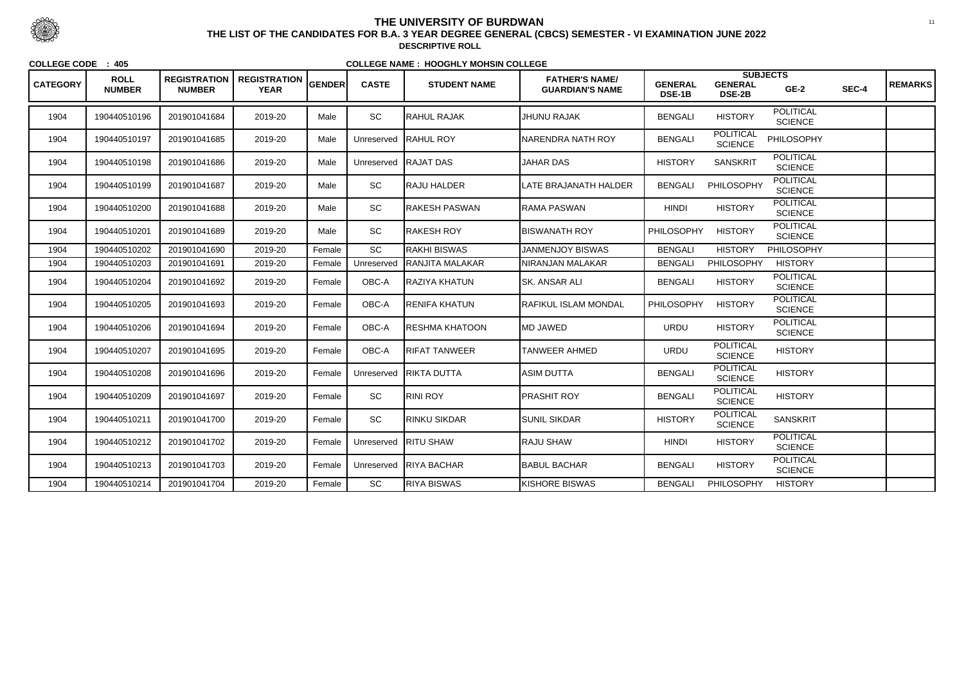| <b>CATEGORY</b> | <b>ROLL</b><br><b>NUMBER</b> | <b>REGISTRATION</b><br><b>NUMBER</b> | <b>REGISTRATION</b><br><b>YEAR</b> | <b>GENDER</b> | <b>CASTE</b> | <b>STUDENT NAME</b>  | <b>FATHER'S NAME/</b><br><b>GUARDIAN'S NAME</b> | <b>GENERAL</b><br>DSE-1B | <b>GENERAL</b><br><b>DSE-2B</b>    | <b>SUBJECTS</b><br>$GE-2$          | SEC-4 | <b>REMARKS</b> |
|-----------------|------------------------------|--------------------------------------|------------------------------------|---------------|--------------|----------------------|-------------------------------------------------|--------------------------|------------------------------------|------------------------------------|-------|----------------|
| 1904            | 190440510196                 | 201901041684                         | 2019-20                            | Male          | SC           | <b>RAHUL RAJAK</b>   | <b>JHUNU RAJAK</b>                              | <b>BENGALI</b>           | <b>HISTORY</b>                     | <b>POLITICAL</b><br><b>SCIENCE</b> |       |                |
| 1904            | 190440510197                 | 201901041685                         | 2019-20                            | Male          | Unreserved   | <b>RAHUL ROY</b>     | NARENDRA NATH ROY                               | <b>BENGALI</b>           | <b>POLITICAL</b><br><b>SCIENCE</b> | <b>PHILOSOPHY</b>                  |       |                |
| 1904            | 190440510198                 | 201901041686                         | 2019-20                            | Male          | Unreserved   | RAJAT DAS            | <b>JAHAR DAS</b>                                | <b>HISTORY</b>           | <b>SANSKRIT</b>                    | <b>POLITICAL</b><br><b>SCIENCE</b> |       |                |
| 1904            | 190440510199                 | 201901041687                         | 2019-20                            | Male          | SC           | RAJU HALDER          | LATE BRAJANATH HALDER                           | <b>BENGALI</b>           | PHILOSOPHY                         | <b>POLITICAL</b><br><b>SCIENCE</b> |       |                |
| 1904            | 190440510200                 | 201901041688                         | 2019-20                            | Male          | SC           | RAKESH PASWAN        | RAMA PASWAN                                     | <b>HINDI</b>             | <b>HISTORY</b>                     | <b>POLITICAL</b><br><b>SCIENCE</b> |       |                |
| 1904            | 190440510201                 | 201901041689                         | 2019-20                            | Male          | SC           | RAKESH ROY           | BISWANATH ROY                                   | <b>PHILOSOPHY</b>        | <b>HISTORY</b>                     | <b>POLITICAL</b><br><b>SCIENCE</b> |       |                |
| 1904            | 190440510202                 | 201901041690                         | 2019-20                            | Female        | <b>SC</b>    | RAKHI BISWAS         | <b>JANMENJOY BISWAS</b>                         | <b>BENGALI</b>           | <b>HISTORY</b>                     | PHILOSOPHY                         |       |                |
| 1904            | 190440510203                 | 201901041691                         | 2019-20                            | Female        | Unreserved   | RANJITA MALAKAR      | NIRANJAN MALAKAR                                | <b>BENGALI</b>           | <b>PHILOSOPHY</b>                  | <b>HISTORY</b>                     |       |                |
| 1904            | 190440510204                 | 201901041692                         | 2019-20                            | Female        | OBC-A        | RAZIYA KHATUN        | <b>SK. ANSAR ALI</b>                            | <b>BENGALI</b>           | <b>HISTORY</b>                     | <b>POLITICAL</b><br><b>SCIENCE</b> |       |                |
| 1904            | 190440510205                 | 201901041693                         | 2019-20                            | Female        | OBC-A        | <b>RENIFA KHATUN</b> | <b>IRAFIKUL ISLAM MONDAL</b>                    | <b>PHILOSOPHY</b>        | <b>HISTORY</b>                     | <b>POLITICAL</b><br><b>SCIENCE</b> |       |                |
| 1904            | 190440510206                 | 201901041694                         | 2019-20                            | Female        | OBC-A        | RESHMA KHATOON       | <b>IMD JAWED</b>                                | <b>URDU</b>              | <b>HISTORY</b>                     | <b>POLITICAL</b><br><b>SCIENCE</b> |       |                |
| 1904            | 190440510207                 | 201901041695                         | 2019-20                            | Female        | OBC-A        | <b>RIFAT TANWEER</b> | TANWEER AHMED                                   | <b>URDU</b>              | <b>POLITICAL</b><br><b>SCIENCE</b> | <b>HISTORY</b>                     |       |                |
| 1904            | 190440510208                 | 201901041696                         | 2019-20                            | Female        | Unreserved   | <b>RIKTA DUTTA</b>   | ASIM DUTTA                                      | <b>BENGALI</b>           | <b>POLITICAL</b><br><b>SCIENCE</b> | <b>HISTORY</b>                     |       |                |
| 1904            | 190440510209                 | 201901041697                         | 2019-20                            | Female        | SC           | RINI ROY             | <b>PRASHIT ROY</b>                              | <b>BENGALI</b>           | <b>POLITICAL</b><br><b>SCIENCE</b> | <b>HISTORY</b>                     |       |                |
| 1904            | 190440510211                 | 201901041700                         | 2019-20                            | Female        | SC           | <b>RINKU SIKDAR</b>  | <b>SUNIL SIKDAR</b>                             | <b>HISTORY</b>           | <b>POLITICAL</b><br><b>SCIENCE</b> | <b>SANSKRIT</b>                    |       |                |
| 1904            | 190440510212                 | 201901041702                         | 2019-20                            | Female        |              | Unreserved RITU SHAW | <b>RAJU SHAW</b>                                | <b>HINDI</b>             | <b>HISTORY</b>                     | <b>POLITICAL</b><br><b>SCIENCE</b> |       |                |
| 1904            | 190440510213                 | 201901041703                         | 2019-20                            | Female        | Unreserved   | <b>RIYA BACHAR</b>   | <b>BABUL BACHAR</b>                             | <b>BENGALI</b>           | <b>HISTORY</b>                     | <b>POLITICAL</b><br><b>SCIENCE</b> |       |                |
| 1904            | 190440510214                 | 201901041704                         | 2019-20                            | Female        | SC           | RIYA BISWAS          | <b>KISHORE BISWAS</b>                           | <b>BENGALI</b>           | <b>PHILOSOPHY</b>                  | <b>HISTORY</b>                     |       |                |



 <sup>11</sup> **THE LIST OF THE CANDIDATES FOR B.A. 3 YEAR DEGREE GENERAL (CBCS) SEMESTER - VI EXAMINATION JUNE 2022DESCRIPTIVE ROLL**

**COLLEGE CODE : 405**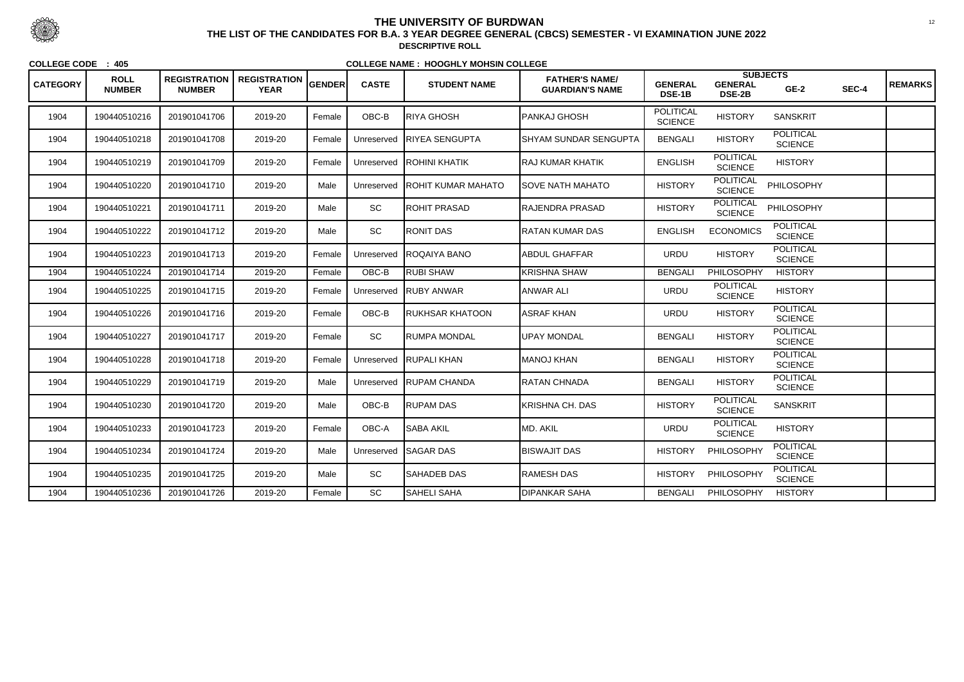| <b>CATEGORY</b> | <b>ROLL</b><br><b>NUMBER</b> | <b>REGISTRATION</b><br><b>NUMBER</b> | <b>REGISTRATION</b><br><b>YEAR</b> | <b>GENDER</b> | <b>CASTE</b> | <b>STUDENT NAME</b>       | <b>FATHER'S NAME/</b><br><b>GUARDIAN'S NAME</b> | <b>GENERAL</b><br><b>DSE-1B</b>    | <b>GENERAL</b><br><b>DSE-2B</b>    | <b>SUBJECTS</b><br>$GE-2$          | SEC-4 | <b>REMARKS</b> |
|-----------------|------------------------------|--------------------------------------|------------------------------------|---------------|--------------|---------------------------|-------------------------------------------------|------------------------------------|------------------------------------|------------------------------------|-------|----------------|
| 1904            | 190440510216                 | 201901041706                         | 2019-20                            | Female        | OBC-B        | RIYA GHOSH                | PANKAJ GHOSH                                    | <b>POLITICAL</b><br><b>SCIENCE</b> | <b>HISTORY</b>                     | <b>SANSKRIT</b>                    |       |                |
| 1904            | 190440510218                 | 201901041708                         | 2019-20                            | Female        | Unreserved   | <b>IRIYEA SENGUPTA</b>    | SHYAM SUNDAR SENGUPTA                           | <b>BENGALI</b>                     | <b>HISTORY</b>                     | <b>POLITICAL</b><br><b>SCIENCE</b> |       |                |
| 1904            | 190440510219                 | 201901041709                         | 2019-20                            | Female        | Unreserved   | <b>IROHINI KHATIK</b>     | RAJ KUMAR KHATIK                                | <b>ENGLISH</b>                     | <b>POLITICAL</b><br><b>SCIENCE</b> | <b>HISTORY</b>                     |       |                |
| 1904            | 190440510220                 | 201901041710                         | 2019-20                            | Male          | Unreserved   | <b>ROHIT KUMAR MAHATO</b> | <b>I</b> SOVE NATH MAHATO                       | <b>HISTORY</b>                     | <b>POLITICAL</b><br><b>SCIENCE</b> | PHILOSOPHY                         |       |                |
| 1904            | 190440510221                 | 201901041711                         | 2019-20                            | Male          | SC           | <b>IROHIT PRASAD</b>      | RAJENDRA PRASAD                                 | <b>HISTORY</b>                     | <b>POLITICAL</b><br><b>SCIENCE</b> | PHILOSOPHY                         |       |                |
| 1904            | 190440510222                 | 201901041712                         | 2019-20                            | Male          | SC           | RONIT DAS                 | RATAN KUMAR DAS                                 | <b>ENGLISH</b>                     | <b>ECONOMICS</b>                   | <b>POLITICAL</b><br><b>SCIENCE</b> |       |                |
| 1904            | 190440510223                 | 201901041713                         | 2019-20                            | Female        | Unreserved   | <b>ROQAIYA BANO</b>       | <b>ABDUL GHAFFAR</b>                            | <b>URDU</b>                        | <b>HISTORY</b>                     | <b>POLITICAL</b><br><b>SCIENCE</b> |       |                |
| 1904            | 190440510224                 | 201901041714                         | 2019-20                            | Female        | OBC-B        | RUBI SHAW                 | <b>KRISHNA SHAW</b>                             | <b>BENGALI</b>                     | PHILOSOPHY                         | <b>HISTORY</b>                     |       |                |
| 1904            | 190440510225                 | 201901041715                         | 2019-20                            | Female        | Unreserved   | <b>RUBY ANWAR</b>         | <b>ANWAR ALI</b>                                | <b>URDU</b>                        | <b>POLITICAL</b><br><b>SCIENCE</b> | <b>HISTORY</b>                     |       |                |
| 1904            | 190440510226                 | 201901041716                         | 2019-20                            | Female        | OBC-B        | RUKHSAR KHATOON           | ASRAF KHAN                                      | <b>URDU</b>                        | <b>HISTORY</b>                     | <b>POLITICAL</b><br><b>SCIENCE</b> |       |                |
| 1904            | 190440510227                 | 201901041717                         | 2019-20                            | Female        | SC           | RUMPA MONDAL              | <b>UPAY MONDAL</b>                              | <b>BENGALI</b>                     | <b>HISTORY</b>                     | <b>POLITICAL</b><br><b>SCIENCE</b> |       |                |
| 1904            | 190440510228                 | 201901041718                         | 2019-20                            | Female        | Unreserved   | <b>RUPALI KHAN</b>        | <b>MANOJ KHAN</b>                               | <b>BENGALI</b>                     | <b>HISTORY</b>                     | <b>POLITICAL</b><br><b>SCIENCE</b> |       |                |
| 1904            | 190440510229                 | 201901041719                         | 2019-20                            | Male          | Unreserved   | <b>IRUPAM CHANDA</b>      | IRATAN CHNADA                                   | <b>BENGALI</b>                     | <b>HISTORY</b>                     | <b>POLITICAL</b><br><b>SCIENCE</b> |       |                |
| 1904            | 190440510230                 | 201901041720                         | 2019-20                            | Male          | OBC-B        | <b>RUPAM DAS</b>          | <b>KRISHNA CH. DAS</b>                          | <b>HISTORY</b>                     | <b>POLITICAL</b><br><b>SCIENCE</b> | <b>SANSKRIT</b>                    |       |                |
| 1904            | 190440510233                 | 201901041723                         | 2019-20                            | Female        | OBC-A        | <b>SABA AKIL</b>          | MD. AKIL                                        | <b>URDU</b>                        | <b>POLITICAL</b><br><b>SCIENCE</b> | <b>HISTORY</b>                     |       |                |
| 1904            | 190440510234                 | 201901041724                         | 2019-20                            | Male          | Unreserved   | <b>SAGAR DAS</b>          | <b>BISWAJIT DAS</b>                             | <b>HISTORY</b>                     | PHILOSOPHY                         | <b>POLITICAL</b><br><b>SCIENCE</b> |       |                |
| 1904            | 190440510235                 | 201901041725                         | 2019-20                            | Male          | SC           | <b>SAHADEB DAS</b>        | <b>RAMESH DAS</b>                               | <b>HISTORY</b>                     | PHILOSOPHY                         | <b>POLITICAL</b><br><b>SCIENCE</b> |       |                |
| 1904            | 190440510236                 | 201901041726                         | 2019-20                            | Female        | SC           | SAHELI SAHA               | <b>DIPANKAR SAHA</b>                            | <b>BENGALI</b>                     | <b>PHILOSOPHY</b>                  | <b>HISTORY</b>                     |       |                |



 <sup>12</sup> **THE LIST OF THE CANDIDATES FOR B.A. 3 YEAR DEGREE GENERAL (CBCS) SEMESTER - VI EXAMINATION JUNE 2022DESCRIPTIVE ROLL**

**COLLEGE CODE : 405**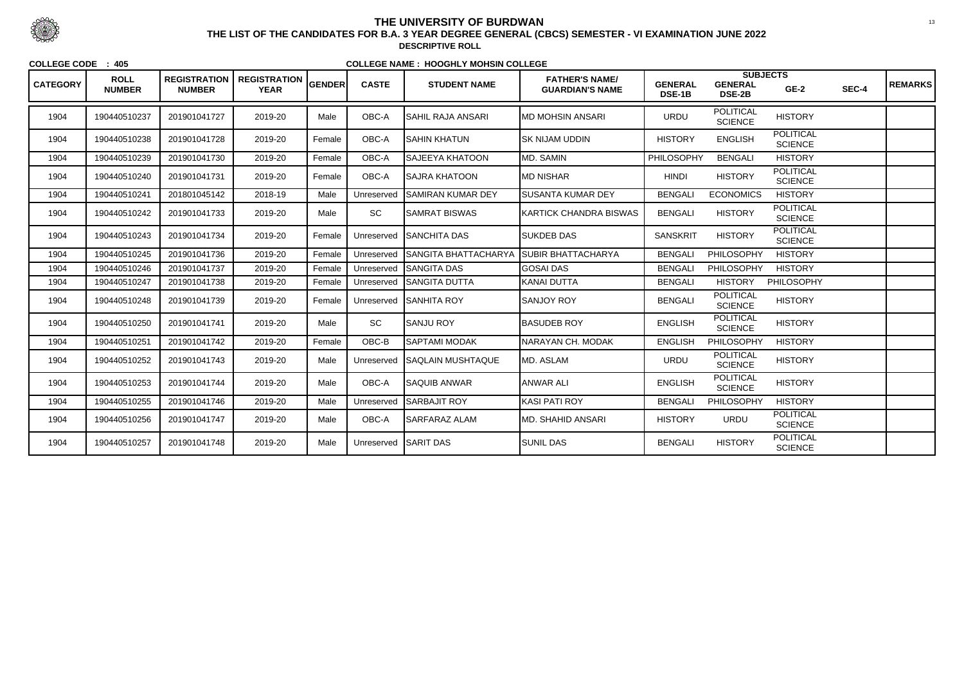| <b>CATEGORY</b> | <b>ROLL</b><br><b>NUMBER</b> | <b>REGISTRATION</b><br><b>NUMBER</b> | <b>REGISTRATION</b><br><b>YEAR</b> | <b>GENDER</b> | <b>CASTE</b> | <b>STUDENT NAME</b>         | <b>FATHER'S NAME/</b><br><b>GUARDIAN'S NAME</b> | <b>GENERAL</b><br>DSE-1B | <b>SUBJECTS</b><br><b>GENERAL</b><br><b>DSE-2B</b> | $GE-2$                             | SEC-4 | <b>REMARKS</b> |
|-----------------|------------------------------|--------------------------------------|------------------------------------|---------------|--------------|-----------------------------|-------------------------------------------------|--------------------------|----------------------------------------------------|------------------------------------|-------|----------------|
| 1904            | 190440510237                 | 201901041727                         | 2019-20                            | Male          | OBC-A        | SAHIL RAJA ANSARI           | <b>IMD MOHSIN ANSARI</b>                        | <b>URDU</b>              | <b>POLITICAL</b><br><b>SCIENCE</b>                 | <b>HISTORY</b>                     |       |                |
| 1904            | 190440510238                 | 201901041728                         | 2019-20                            | Female        | OBC-A        | <b>SAHIN KHATUN</b>         | <b>SK NIJAM UDDIN</b>                           | <b>HISTORY</b>           | <b>ENGLISH</b>                                     | <b>POLITICAL</b><br><b>SCIENCE</b> |       |                |
| 1904            | 190440510239                 | 201901041730                         | 2019-20                            | Female        | OBC-A        | SAJEEYA KHATOON             | MD. SAMIN                                       | PHILOSOPHY               | <b>BENGALI</b>                                     | <b>HISTORY</b>                     |       |                |
| 1904            | 190440510240                 | 201901041731                         | 2019-20                            | Female        | OBC-A        | <b>SAJRA KHATOON</b>        | <b>MD NISHAR</b>                                | <b>HINDI</b>             | <b>HISTORY</b>                                     | <b>POLITICAL</b><br><b>SCIENCE</b> |       |                |
| 1904            | 190440510241                 | 201801045142                         | 2018-19                            | Male          | Unreserved   | <b>SAMIRAN KUMAR DEY</b>    | <b>ISUSANTA KUMAR DEY</b>                       | <b>BENGALI</b>           | <b>ECONOMICS</b>                                   | <b>HISTORY</b>                     |       |                |
| 1904            | 190440510242                 | 201901041733                         | 2019-20                            | Male          | SC           | <b>SAMRAT BISWAS</b>        | KARTICK CHANDRA BISWAS                          | <b>BENGALI</b>           | <b>HISTORY</b>                                     | <b>POLITICAL</b><br><b>SCIENCE</b> |       |                |
| 1904            | 190440510243                 | 201901041734                         | 2019-20                            | Female        | Unreserved   | <b>ISANCHITA DAS</b>        | <b>SUKDEB DAS</b>                               | <b>SANSKRIT</b>          | <b>HISTORY</b>                                     | <b>POLITICAL</b><br><b>SCIENCE</b> |       |                |
| 1904            | 190440510245                 | 201901041736                         | 2019-20                            | Female        | Unreserved   | <b>SANGITA BHATTACHARYA</b> | <b>SUBIR BHATTACHARYA</b>                       | <b>BENGALI</b>           | PHILOSOPHY                                         | <b>HISTORY</b>                     |       |                |
| 1904            | 190440510246                 | 201901041737                         | 2019-20                            | Female        | Unreserved   | <b>SANGITA DAS</b>          | <b>GOSAI DAS</b>                                | <b>BENGALI</b>           | <b>PHILOSOPHY</b>                                  | <b>HISTORY</b>                     |       |                |
| 1904            | 190440510247                 | 201901041738                         | 2019-20                            | Female        | Unreserved   | <b>SANGITA DUTTA</b>        | <b>KANAI DUTTA</b>                              | <b>BENGALI</b>           | <b>HISTORY</b>                                     | <b>PHILOSOPHY</b>                  |       |                |
| 1904            | 190440510248                 | 201901041739                         | 2019-20                            | Female        | Unreserved   | <b>SANHITA ROY</b>          | <b>SANJOY ROY</b>                               | <b>BENGALI</b>           | <b>POLITICAL</b><br><b>SCIENCE</b>                 | <b>HISTORY</b>                     |       |                |
| 1904            | 190440510250                 | 201901041741                         | 2019-20                            | Male          | <b>SC</b>    | ISANJU ROY                  | <b>BASUDEB ROY</b>                              | <b>ENGLISH</b>           | <b>POLITICAL</b><br><b>SCIENCE</b>                 | <b>HISTORY</b>                     |       |                |
| 1904            | 190440510251                 | 201901041742                         | 2019-20                            | Female        | OBC-B        | SAPTAMI MODAK               | <b>NARAYAN CH. MODAK</b>                        | <b>ENGLISH</b>           | <b>PHILOSOPHY</b>                                  | <b>HISTORY</b>                     |       |                |
| 1904            | 190440510252                 | 201901041743                         | 2019-20                            | Male          | Unreserved   | <b>SAQLAIN MUSHTAQUE</b>    | MD. ASLAM                                       | <b>URDU</b>              | <b>POLITICAL</b><br><b>SCIENCE</b>                 | <b>HISTORY</b>                     |       |                |
| 1904            | 190440510253                 | 201901041744                         | 2019-20                            | Male          | OBC-A        | <b>SAQUIB ANWAR</b>         | ANWAR ALI                                       | <b>ENGLISH</b>           | <b>POLITICAL</b><br><b>SCIENCE</b>                 | <b>HISTORY</b>                     |       |                |
| 1904            | 190440510255                 | 201901041746                         | 2019-20                            | Male          | Unreserved   | <b>SARBAJIT ROY</b>         | <b>KASI PATI ROY</b>                            | <b>BENGALI</b>           | <b>PHILOSOPHY</b>                                  | <b>HISTORY</b>                     |       |                |
| 1904            | 190440510256                 | 201901041747                         | 2019-20                            | Male          | OBC-A        | SARFARAZ ALAM               | MD. SHAHID ANSARI                               | <b>HISTORY</b>           | <b>URDU</b>                                        | <b>POLITICAL</b><br><b>SCIENCE</b> |       |                |
| 1904            | 190440510257                 | 201901041748                         | 2019-20                            | Male          | Unreserved   | <b>SARIT DAS</b>            | <b>SUNIL DAS</b>                                | <b>BENGALI</b>           | <b>HISTORY</b>                                     | <b>POLITICAL</b><br><b>SCIENCE</b> |       |                |



 <sup>13</sup> **THE LIST OF THE CANDIDATES FOR B.A. 3 YEAR DEGREE GENERAL (CBCS) SEMESTER - VI EXAMINATION JUNE 2022DESCRIPTIVE ROLL**

**COLLEGE CODE : 405**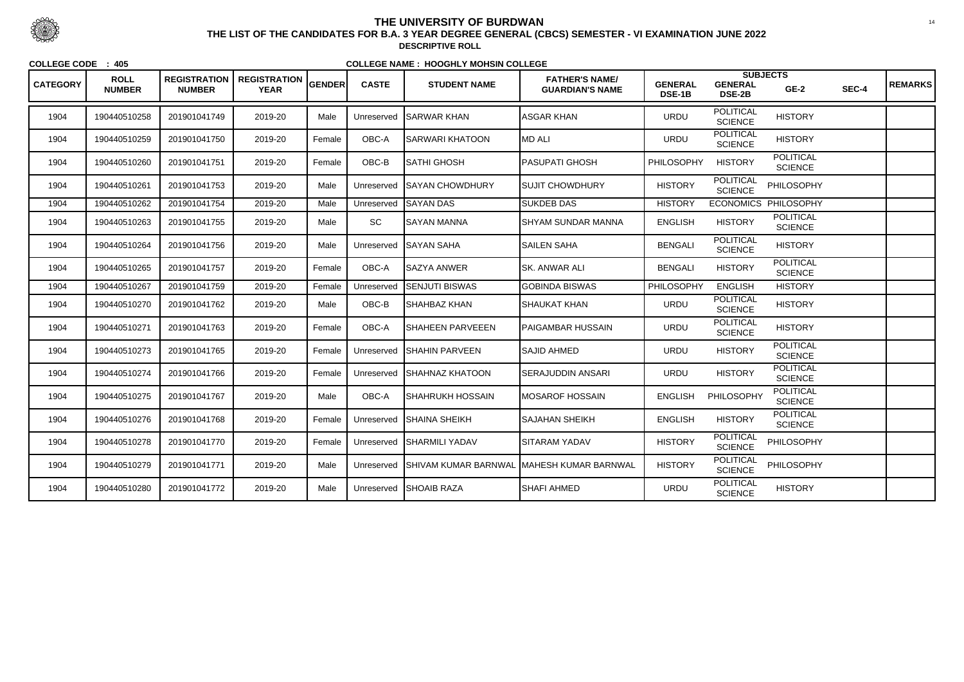| <b>CATEGORY</b> | <b>ROLL</b><br><b>NUMBER</b> | <b>REGISTRATION</b><br><b>NUMBER</b> | <b>REGISTRATION</b>  <br><b>YEAR</b> | <b>GENDER</b> | <b>CASTE</b> | <b>STUDENT NAME</b>         | <b>FATHER'S NAME/</b><br><b>GUARDIAN'S NAME</b> | <b>GENERAL</b><br>DSE-1B | <b>GENERAL</b><br><b>DSE-2B</b>    | <b>SUBJECTS</b><br>$GE-2$          | SEC-4 | <b>REMARKS</b> |
|-----------------|------------------------------|--------------------------------------|--------------------------------------|---------------|--------------|-----------------------------|-------------------------------------------------|--------------------------|------------------------------------|------------------------------------|-------|----------------|
| 1904            | 190440510258                 | 201901041749                         | 2019-20                              | Male          | Unreserved   | <b>SARWAR KHAN</b>          | <b>ASGAR KHAN</b>                               | <b>URDU</b>              | <b>POLITICAL</b><br><b>SCIENCE</b> | <b>HISTORY</b>                     |       |                |
| 1904            | 190440510259                 | 201901041750                         | 2019-20                              | Female        | OBC-A        | <b>SARWARI KHATOON</b>      | MD ALI                                          | <b>URDU</b>              | <b>POLITICAL</b><br><b>SCIENCE</b> | <b>HISTORY</b>                     |       |                |
| 1904            | 190440510260                 | 201901041751                         | 2019-20                              | Female        | OBC-B        | <b>ISATHI GHOSH</b>         | PASUPATI GHOSH                                  | PHILOSOPHY               | <b>HISTORY</b>                     | <b>POLITICAL</b><br><b>SCIENCE</b> |       |                |
| 1904            | 190440510261                 | 201901041753                         | 2019-20                              | Male          | Unreserved   | <b>ISAYAN CHOWDHURY</b>     | SUJIT CHOWDHURY                                 | <b>HISTORY</b>           | <b>POLITICAL</b><br><b>SCIENCE</b> | PHILOSOPHY                         |       |                |
| 1904            | 190440510262                 | 201901041754                         | 2019-20                              | Male          | Unreserved   | <b>SAYAN DAS</b>            | <b>SUKDEB DAS</b>                               | <b>HISTORY</b>           |                                    | ECONOMICS PHILOSOPHY               |       |                |
| 1904            | 190440510263                 | 201901041755                         | 2019-20                              | Male          | SC           | <b>SAYAN MANNA</b>          | SHYAM SUNDAR MANNA                              | <b>ENGLISH</b>           | <b>HISTORY</b>                     | <b>POLITICAL</b><br><b>SCIENCE</b> |       |                |
| 1904            | 190440510264                 | 201901041756                         | 2019-20                              | Male          | Unreserved   | <b>SAYAN SAHA</b>           | <b>SAILEN SAHA</b>                              | <b>BENGALI</b>           | <b>POLITICAL</b><br><b>SCIENCE</b> | <b>HISTORY</b>                     |       |                |
| 1904            | 190440510265                 | 201901041757                         | 2019-20                              | Female        | OBC-A        | <b>SAZYA ANWER</b>          | <b>SK. ANWAR ALI</b>                            | <b>BENGALI</b>           | <b>HISTORY</b>                     | <b>POLITICAL</b><br><b>SCIENCE</b> |       |                |
| 1904            | 190440510267                 | 201901041759                         | 2019-20                              | Female        | Unreserved   | <b>SENJUTI BISWAS</b>       | <b>GOBINDA BISWAS</b>                           | PHILOSOPHY               | <b>ENGLISH</b>                     | <b>HISTORY</b>                     |       |                |
| 1904            | 190440510270                 | 201901041762                         | 2019-20                              | Male          | OBC-B        | <b>SHAHBAZ KHAN</b>         | SHAUKAT KHAN                                    | <b>URDU</b>              | <b>POLITICAL</b><br><b>SCIENCE</b> | <b>HISTORY</b>                     |       |                |
| 1904            | 190440510271                 | 201901041763                         | 2019-20                              | Female        | OBC-A        | <b>SHAHEEN PARVEEEN</b>     | PAIGAMBAR HUSSAIN                               | <b>URDU</b>              | <b>POLITICAL</b><br><b>SCIENCE</b> | <b>HISTORY</b>                     |       |                |
| 1904            | 190440510273                 | 201901041765                         | 2019-20                              | Female        | Unreserved   | <b>ISHAHIN PARVEEN</b>      | <b>SAJID AHMED</b>                              | <b>URDU</b>              | <b>HISTORY</b>                     | <b>POLITICAL</b><br><b>SCIENCE</b> |       |                |
| 1904            | 190440510274                 | 201901041766                         | 2019-20                              | Female        |              | Unreserved SHAHNAZ KHATOON  | SERAJUDDIN ANSARI                               | <b>URDU</b>              | <b>HISTORY</b>                     | <b>POLITICAL</b><br><b>SCIENCE</b> |       |                |
| 1904            | 190440510275                 | 201901041767                         | 2019-20                              | Male          | OBC-A        | <b>SHAHRUKH HOSSAIN</b>     | IMOSAROF HOSSAIN                                | <b>ENGLISH</b>           | PHILOSOPHY                         | <b>POLITICAL</b><br><b>SCIENCE</b> |       |                |
| 1904            | 190440510276                 | 201901041768                         | 2019-20                              | Female        | Unreserved   | <b>ISHAINA SHEIKH</b>       | <b>SAJAHAN SHEIKH</b>                           | <b>ENGLISH</b>           | <b>HISTORY</b>                     | <b>POLITICAL</b><br><b>SCIENCE</b> |       |                |
| 1904            | 190440510278                 | 201901041770                         | 2019-20                              | Female        |              | Unreserved SHARMILI YADAV   | ISITARAM YADAV                                  | <b>HISTORY</b>           | <b>POLITICAL</b><br><b>SCIENCE</b> | PHILOSOPHY                         |       |                |
| 1904            | 190440510279                 | 201901041771                         | 2019-20                              | Male          | Unreserved   | <b>SHIVAM KUMAR BARNWAL</b> | .  MAHESH KUMAR BARNWAL                         | <b>HISTORY</b>           | <b>POLITICAL</b><br><b>SCIENCE</b> | PHILOSOPHY                         |       |                |
| 1904            | 190440510280                 | 201901041772                         | 2019-20                              | Male          |              | Unreserved SHOAIB RAZA      | <b>SHAFI AHMED</b>                              | <b>URDU</b>              | <b>POLITICAL</b><br><b>SCIENCE</b> | <b>HISTORY</b>                     |       |                |



 <sup>14</sup> **THE LIST OF THE CANDIDATES FOR B.A. 3 YEAR DEGREE GENERAL (CBCS) SEMESTER - VI EXAMINATION JUNE 2022DESCRIPTIVE ROLL**

**COLLEGE CODE : 405**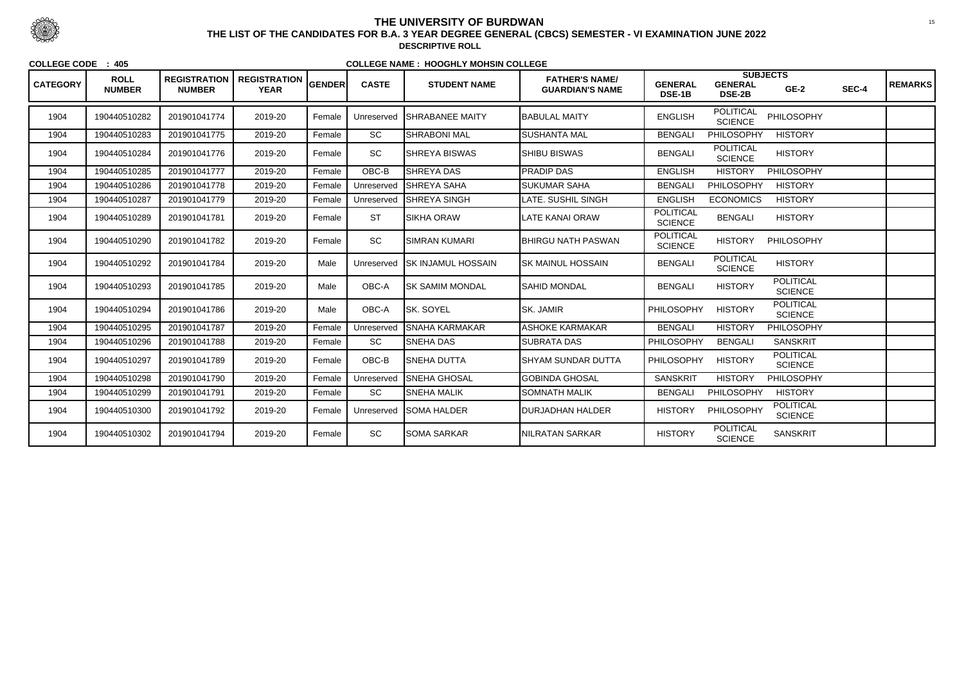| <b>CATEGORY</b> | <b>ROLL</b><br><b>NUMBER</b> | <b>REGISTRATION</b><br><b>NUMBER</b> | <b>REGISTRATION</b><br><b>YEAR</b> | <b>GENDER</b> | <b>CASTE</b> | <b>STUDENT NAME</b>        | <b>FATHER'S NAME/</b><br><b>GUARDIAN'S NAME</b> | <b>GENERAL</b><br>DSE-1B           | <b>SUBJECTS</b><br><b>GENERAL</b><br><b>DSE-2B</b> | $GE-2$                             | SEC-4 | <b>REMARKS</b> |
|-----------------|------------------------------|--------------------------------------|------------------------------------|---------------|--------------|----------------------------|-------------------------------------------------|------------------------------------|----------------------------------------------------|------------------------------------|-------|----------------|
| 1904            | 190440510282                 | 201901041774                         | 2019-20                            | Female        | Unreserved   | <b>SHRABANEE MAITY</b>     | <b>BABULAL MAITY</b>                            | <b>ENGLISH</b>                     | <b>POLITICAL</b><br><b>SCIENCE</b>                 | PHILOSOPHY                         |       |                |
| 1904            | 190440510283                 | 201901041775                         | 2019-20                            | Female        | SC           | <b>SHRABONI MAL</b>        | <b>SUSHANTA MAL</b>                             | <b>BENGALI</b>                     | PHILOSOPHY                                         | <b>HISTORY</b>                     |       |                |
| 1904            | 190440510284                 | 201901041776                         | 2019-20                            | Female        | SC           | <b>SHREYA BISWAS</b>       | <b>SHIBU BISWAS</b>                             | <b>BENGALI</b>                     | <b>POLITICAL</b><br><b>SCIENCE</b>                 | <b>HISTORY</b>                     |       |                |
| 1904            | 190440510285                 | 201901041777                         | 2019-20                            | Female        | OBC-B        | SHREYA DAS                 | PRADIP DAS                                      | <b>ENGLISH</b>                     | <b>HISTORY</b>                                     | <b>PHILOSOPHY</b>                  |       |                |
| 1904            | 190440510286                 | 201901041778                         | 2019-20                            | Female        | Unreserved   | <b>SHREYA SAHA</b>         | <b>SUKUMAR SAHA</b>                             | <b>BENGALI</b>                     | PHILOSOPHY                                         | <b>HISTORY</b>                     |       |                |
| 1904            | 190440510287                 | 201901041779                         | 2019-20                            | Female        | Unreserved   | <b>SHREYA SINGH</b>        | LATE. SUSHIL SINGH                              | <b>ENGLISH</b>                     | <b>ECONOMICS</b>                                   | <b>HISTORY</b>                     |       |                |
| 1904            | 190440510289                 | 201901041781                         | 2019-20                            | Female        | <b>ST</b>    | <b>SIKHA ORAW</b>          | LATE KANAI ORAW                                 | <b>POLITICAL</b><br><b>SCIENCE</b> | <b>BENGALI</b>                                     | <b>HISTORY</b>                     |       |                |
| 1904            | 190440510290                 | 201901041782                         | 2019-20                            | Female        | SC           | <b>SIMRAN KUMARI</b>       | <b>BHIRGU NATH PASWAN</b>                       | <b>POLITICAL</b><br><b>SCIENCE</b> | <b>HISTORY</b>                                     | PHILOSOPHY                         |       |                |
| 1904            | 190440510292                 | 201901041784                         | 2019-20                            | Male          | Unreserved   | <b>ISK INJAMUL HOSSAIN</b> | ISK MAINUL HOSSAIN                              | <b>BENGALI</b>                     | <b>POLITICAL</b><br><b>SCIENCE</b>                 | <b>HISTORY</b>                     |       |                |
| 1904            | 190440510293                 | 201901041785                         | 2019-20                            | Male          | OBC-A        | <b>ISK SAMIM MONDAL</b>    | <b>SAHID MONDAL</b>                             | <b>BENGALI</b>                     | <b>HISTORY</b>                                     | <b>POLITICAL</b><br><b>SCIENCE</b> |       |                |
| 1904            | 190440510294                 | 201901041786                         | 2019-20                            | Male          | OBC-A        | <b>SK. SOYEL</b>           | <b>SK. JAMIR</b>                                | PHILOSOPHY                         | <b>HISTORY</b>                                     | <b>POLITICAL</b><br><b>SCIENCE</b> |       |                |
| 1904            | 190440510295                 | 201901041787                         | 2019-20                            | Female        | Unreserved   | <b>SNAHA KARMAKAR</b>      | <b>ASHOKE KARMAKAR</b>                          | <b>BENGALI</b>                     | <b>HISTORY</b>                                     | PHILOSOPHY                         |       |                |
| 1904            | 190440510296                 | 201901041788                         | 2019-20                            | Female        | SC           | <b>SNEHA DAS</b>           | <b>SUBRATA DAS</b>                              | PHILOSOPHY                         | <b>BENGALI</b>                                     | <b>SANSKRIT</b>                    |       |                |
| 1904            | 190440510297                 | 201901041789                         | 2019-20                            | Female        | OBC-B        | <b>SNEHA DUTTA</b>         | <b>SHYAM SUNDAR DUTTA</b>                       | PHILOSOPHY                         | <b>HISTORY</b>                                     | <b>POLITICAL</b><br><b>SCIENCE</b> |       |                |
| 1904            | 190440510298                 | 201901041790                         | 2019-20                            | Female        | Unreserved   | <b>SNEHA GHOSAL</b>        | <b>GOBINDA GHOSAL</b>                           | <b>SANSKRIT</b>                    | <b>HISTORY</b>                                     | <b>PHILOSOPHY</b>                  |       |                |
| 1904            | 190440510299                 | 201901041791                         | 2019-20                            | Female        | SC           | <b>SNEHA MALIK</b>         | <b>SOMNATH MALIK</b>                            | <b>BENGALI</b>                     | PHILOSOPHY                                         | <b>HISTORY</b>                     |       |                |
| 1904            | 190440510300                 | 201901041792                         | 2019-20                            | Female        | Unreserved   | <b>SOMA HALDER</b>         | <b>DURJADHAN HALDER</b>                         | <b>HISTORY</b>                     | PHILOSOPHY                                         | <b>POLITICAL</b><br><b>SCIENCE</b> |       |                |
| 1904            | 190440510302                 | 201901041794                         | 2019-20                            | Female        | SC           | <b>SOMA SARKAR</b>         | <b>NILRATAN SARKAR</b>                          | <b>HISTORY</b>                     | <b>POLITICAL</b><br><b>SCIENCE</b>                 | <b>SANSKRIT</b>                    |       |                |



 <sup>15</sup> **THE LIST OF THE CANDIDATES FOR B.A. 3 YEAR DEGREE GENERAL (CBCS) SEMESTER - VI EXAMINATION JUNE 2022DESCRIPTIVE ROLL**

**COLLEGE CODE : 405**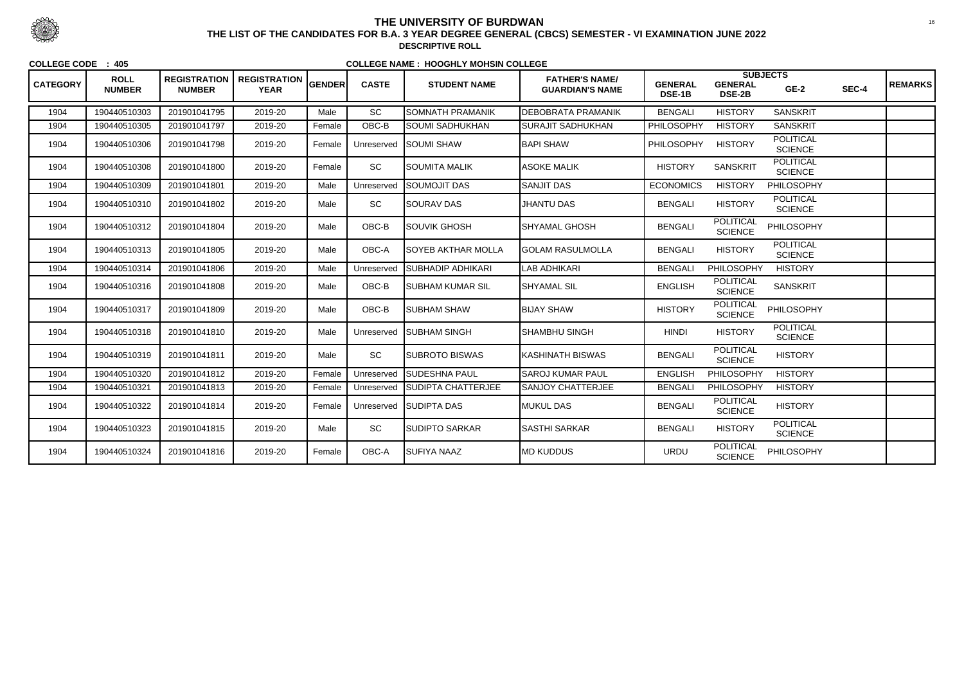| <b>CATEGORY</b> | <b>ROLL</b><br><b>NUMBER</b> | <b>REGISTRATION</b><br><b>NUMBER</b> | <b>REGISTRATION</b><br><b>YEAR</b> | <b>GENDER</b> | <b>CASTE</b> | <b>STUDENT NAME</b>       | <b>FATHER'S NAME/</b><br><b>GUARDIAN'S NAME</b> | <b>GENERAL</b><br><b>DSE-1B</b> | <b>GENERAL</b><br><b>DSE-2B</b>    | <b>SUBJECTS</b><br>$GE-2$          | SEC-4 | <b>REMARKS</b> |
|-----------------|------------------------------|--------------------------------------|------------------------------------|---------------|--------------|---------------------------|-------------------------------------------------|---------------------------------|------------------------------------|------------------------------------|-------|----------------|
| 1904            | 190440510303                 | 201901041795                         | 2019-20                            | Male          | SC           | SOMNATH PRAMANIK          | <b>DEBOBRATA PRAMANIK</b>                       | <b>BENGALI</b>                  | <b>HISTORY</b>                     | <b>SANSKRIT</b>                    |       |                |
| 1904            | 190440510305                 | 201901041797                         | 2019-20                            | Female        | OBC-B        | <b>SOUMI SADHUKHAN</b>    | <b>SURAJIT SADHUKHAN</b>                        | PHILOSOPHY                      | <b>HISTORY</b>                     | <b>SANSKRIT</b>                    |       |                |
| 1904            | 190440510306                 | 201901041798                         | 2019-20                            | Female        | Unreserved   | ISOUMI SHAW               | <b>BAPI SHAW</b>                                | <b>PHILOSOPHY</b>               | <b>HISTORY</b>                     | <b>POLITICAL</b><br><b>SCIENCE</b> |       |                |
| 1904            | 190440510308                 | 201901041800                         | 2019-20                            | Female        | SC           | SOUMITA MALIK             | <b>ASOKE MALIK</b>                              | <b>HISTORY</b>                  | <b>SANSKRIT</b>                    | <b>POLITICAL</b><br><b>SCIENCE</b> |       |                |
| 1904            | 190440510309                 | 201901041801                         | 2019-20                            | Male          | Unreserved   | SOUMOJIT DAS              | <b>SANJIT DAS</b>                               | <b>ECONOMICS</b>                | <b>HISTORY</b>                     | PHILOSOPHY                         |       |                |
| 1904            | 190440510310                 | 201901041802                         | 2019-20                            | Male          | <b>SC</b>    | <b>SOURAV DAS</b>         | <b>JHANTU DAS</b>                               | <b>BENGALI</b>                  | <b>HISTORY</b>                     | <b>POLITICAL</b><br><b>SCIENCE</b> |       |                |
| 1904            | 190440510312                 | 201901041804                         | 2019-20                            | Male          | OBC-B        | ISOUVIK GHOSH             | İSHYAMAL GHOSH                                  | <b>BENGALI</b>                  | <b>POLITICAL</b><br><b>SCIENCE</b> | PHILOSOPHY                         |       |                |
| 1904            | 190440510313                 | 201901041805                         | 2019-20                            | Male          | OBC-A        | SOYEB AKTHAR MOLLA        | <b>GOLAM RASULMOLLA</b>                         | <b>BENGALI</b>                  | <b>HISTORY</b>                     | <b>POLITICAL</b><br><b>SCIENCE</b> |       |                |
| 1904            | 190440510314                 | 201901041806                         | 2019-20                            | Male          | Unreserved   | SUBHADIP ADHIKARI         | <b>LAB ADHIKARI</b>                             | <b>BENGALI</b>                  | <b>PHILOSOPHY</b>                  | <b>HISTORY</b>                     |       |                |
| 1904            | 190440510316                 | 201901041808                         | 2019-20                            | Male          | OBC-B        | SUBHAM KUMAR SIL          | <b>SHYAMAL SIL</b>                              | <b>ENGLISH</b>                  | <b>POLITICAL</b><br><b>SCIENCE</b> | <b>SANSKRIT</b>                    |       |                |
| 1904            | 190440510317                 | 201901041809                         | 2019-20                            | Male          | OBC-B        | <b>SUBHAM SHAW</b>        | <b>BIJAY SHAW</b>                               | <b>HISTORY</b>                  | <b>POLITICAL</b><br><b>SCIENCE</b> | PHILOSOPHY                         |       |                |
| 1904            | 190440510318                 | 201901041810                         | 2019-20                            | Male          | Unreserved   | <b>I</b> SUBHAM SINGH     | SHAMBHU SINGH                                   | <b>HINDI</b>                    | <b>HISTORY</b>                     | <b>POLITICAL</b><br><b>SCIENCE</b> |       |                |
| 1904            | 190440510319                 | 201901041811                         | 2019-20                            | Male          | SC           | <b>SUBROTO BISWAS</b>     | KASHINATH BISWAS                                | <b>BENGALI</b>                  | <b>POLITICAL</b><br><b>SCIENCE</b> | <b>HISTORY</b>                     |       |                |
| 1904            | 190440510320                 | 201901041812                         | 2019-20                            | Female        | Unreserved   | <b>I</b> SUDESHNA PAUL    | <b>SAROJ KUMAR PAUL</b>                         | <b>ENGLISH</b>                  | <b>PHILOSOPHY</b>                  | <b>HISTORY</b>                     |       |                |
| 1904            | 190440510321                 | 201901041813                         | 2019-20                            | Female        | Unreserved   | <b>SUDIPTA CHATTERJEE</b> | <b>SANJOY CHATTERJEE</b>                        | <b>BENGALI</b>                  | <b>PHILOSOPHY</b>                  | <b>HISTORY</b>                     |       |                |
| 1904            | 190440510322                 | 201901041814                         | 2019-20                            | Female        | Unreserved   | <b>SUDIPTA DAS</b>        | <b>MUKUL DAS</b>                                | <b>BENGALI</b>                  | <b>POLITICAL</b><br><b>SCIENCE</b> | <b>HISTORY</b>                     |       |                |
| 1904            | 190440510323                 | 201901041815                         | 2019-20                            | Male          | SC           | <b>SUDIPTO SARKAR</b>     | <b>SASTHI SARKAR</b>                            | <b>BENGALI</b>                  | <b>HISTORY</b>                     | <b>POLITICAL</b><br><b>SCIENCE</b> |       |                |
| 1904            | 190440510324                 | 201901041816                         | 2019-20                            | Female        | OBC-A        | <b>SUFIYA NAAZ</b>        | <b>MD KUDDUS</b>                                | <b>URDU</b>                     | <b>POLITICAL</b><br><b>SCIENCE</b> | PHILOSOPHY                         |       |                |



 <sup>16</sup> **THE LIST OF THE CANDIDATES FOR B.A. 3 YEAR DEGREE GENERAL (CBCS) SEMESTER - VI EXAMINATION JUNE 2022DESCRIPTIVE ROLL**

**COLLEGE CODE : 405**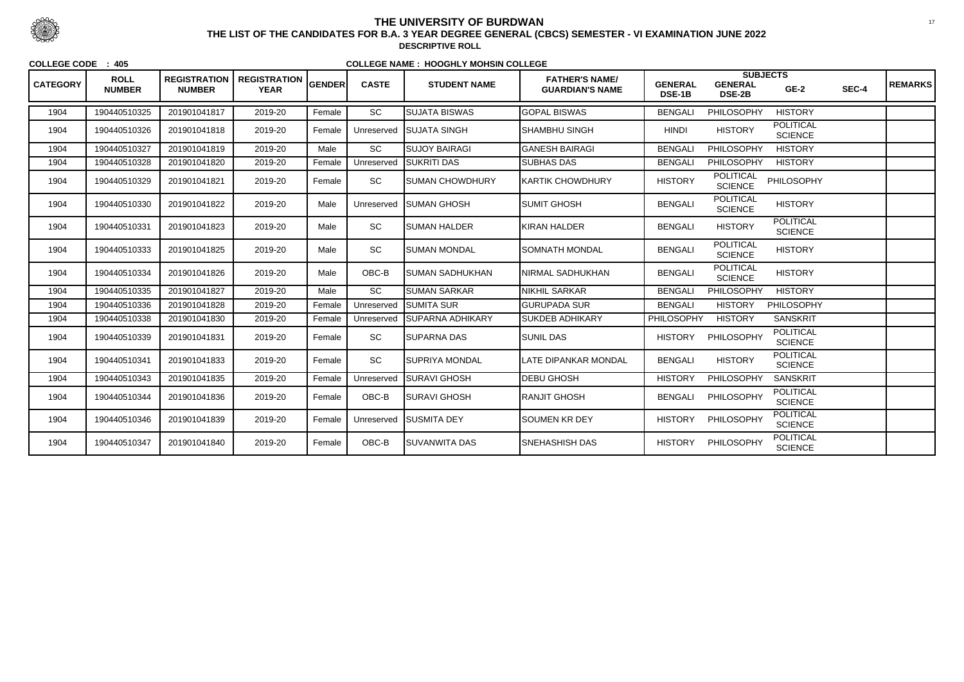| <b>CATEGORY</b> | <b>ROLL</b><br><b>NUMBER</b> | <b>REGISTRATION</b><br><b>NUMBER</b> | <b>REGISTRATION</b><br><b>YEAR</b> | <b>GENDER</b> | <b>CASTE</b> | <b>STUDENT NAME</b>     | <b>FATHER'S NAME/</b><br><b>GUARDIAN'S NAME</b> | <b>GENERAL</b><br>DSE-1B | <b>SUBJECTS</b><br><b>GENERAL</b><br><b>DSE-2B</b> | $GE-2$                             | SEC-4 | <b>REMARKS</b> |
|-----------------|------------------------------|--------------------------------------|------------------------------------|---------------|--------------|-------------------------|-------------------------------------------------|--------------------------|----------------------------------------------------|------------------------------------|-------|----------------|
| 1904            | 190440510325                 | 201901041817                         | 2019-20                            | Female        | <b>SC</b>    | <b>SUJATA BISWAS</b>    | <b>GOPAL BISWAS</b>                             | <b>BENGALI</b>           | <b>PHILOSOPHY</b>                                  | <b>HISTORY</b>                     |       |                |
| 1904            | 190440510326                 | 201901041818                         | 2019-20                            | Female        | Unreserved   | <b>ISUJATA SINGH</b>    | SHAMBHU SINGH                                   | <b>HINDI</b>             | <b>HISTORY</b>                                     | <b>POLITICAL</b><br><b>SCIENCE</b> |       |                |
| 1904            | 190440510327                 | 201901041819                         | 2019-20                            | Male          | SC           | <b>I</b> SUJOY BAIRAGI  | <b>GANESH BAIRAGI</b>                           | <b>BENGALI</b>           | PHILOSOPHY                                         | <b>HISTORY</b>                     |       |                |
| 1904            | 190440510328                 | 201901041820                         | 2019-20                            | Female        | Unreserved   | <b>SUKRITI DAS</b>      | <b>SUBHAS DAS</b>                               | <b>BENGALI</b>           | PHILOSOPHY                                         | <b>HISTORY</b>                     |       |                |
| 1904            | 190440510329                 | 201901041821                         | 2019-20                            | Female        | SC           | <b>SUMAN CHOWDHURY</b>  | <b>KARTIK CHOWDHURY</b>                         | <b>HISTORY</b>           | <b>POLITICAL</b><br><b>SCIENCE</b>                 | PHILOSOPHY                         |       |                |
| 1904            | 190440510330                 | 201901041822                         | 2019-20                            | Male          | Unreserved   | <b>ISUMAN GHOSH</b>     | <b>SUMIT GHOSH</b>                              | <b>BENGALI</b>           | <b>POLITICAL</b><br><b>SCIENCE</b>                 | <b>HISTORY</b>                     |       |                |
| 1904            | 190440510331                 | 201901041823                         | 2019-20                            | Male          | SC           | <b>SUMAN HALDER</b>     | KIRAN HALDER                                    | <b>BENGALI</b>           | <b>HISTORY</b>                                     | <b>POLITICAL</b><br><b>SCIENCE</b> |       |                |
| 1904            | 190440510333                 | 201901041825                         | 2019-20                            | Male          | SC           | <b>SUMAN MONDAL</b>     | <b>SOMNATH MONDAL</b>                           | <b>BENGALI</b>           | <b>POLITICAL</b><br><b>SCIENCE</b>                 | <b>HISTORY</b>                     |       |                |
| 1904            | 190440510334                 | 201901041826                         | 2019-20                            | Male          | OBC-B        | <b>ISUMAN SADHUKHAN</b> | NIRMAL SADHUKHAN                                | <b>BENGALI</b>           | <b>POLITICAL</b><br><b>SCIENCE</b>                 | <b>HISTORY</b>                     |       |                |
| 1904            | 190440510335                 | 201901041827                         | 2019-20                            | Male          | <b>SC</b>    | <b>SUMAN SARKAR</b>     | <b>NIKHIL SARKAR</b>                            | <b>BENGALI</b>           | <b>PHILOSOPHY</b>                                  | <b>HISTORY</b>                     |       |                |
| 1904            | 190440510336                 | 201901041828                         | 2019-20                            | Female        | Unreserved   | <b>ISUMITA SUR</b>      | <b>GURUPADA SUR</b>                             | <b>BENGALI</b>           | <b>HISTORY</b>                                     | PHILOSOPHY                         |       |                |
| 1904            | 190440510338                 | 201901041830                         | 2019-20                            | Female        | Unreserved   | ISUPARNA ADHIKARY       | <b>SUKDEB ADHIKARY</b>                          | <b>PHILOSOPHY</b>        | <b>HISTORY</b>                                     | <b>SANSKRIT</b>                    |       |                |
| 1904            | 190440510339                 | 201901041831                         | 2019-20                            | Female        | SC           | <b>ISUPARNA DAS</b>     | <b>SUNIL DAS</b>                                | <b>HISTORY</b>           | PHILOSOPHY                                         | <b>POLITICAL</b><br><b>SCIENCE</b> |       |                |
| 1904            | 190440510341                 | 201901041833                         | 2019-20                            | Female        | SC           | <b>ISUPRIYA MONDAL</b>  | LATE DIPANKAR MONDAL                            | <b>BENGALI</b>           | <b>HISTORY</b>                                     | <b>POLITICAL</b><br><b>SCIENCE</b> |       |                |
| 1904            | 190440510343                 | 201901041835                         | 2019-20                            | Female        | Unreserved   | <b>SURAVI GHOSH</b>     | <b>DEBU GHOSH</b>                               | <b>HISTORY</b>           | PHILOSOPHY                                         | <b>SANSKRIT</b>                    |       |                |
| 1904            | 190440510344                 | 201901041836                         | 2019-20                            | Female        | OBC-B        | <b>ISURAVI GHOSH</b>    | <b>RANJIT GHOSH</b>                             | <b>BENGALI</b>           | PHILOSOPHY                                         | <b>POLITICAL</b><br><b>SCIENCE</b> |       |                |
| 1904            | 190440510346                 | 201901041839                         | 2019-20                            | Female        | Unreserved   | <b>ISUSMITA DEY</b>     | <b>SOUMEN KR DEY</b>                            | <b>HISTORY</b>           | PHILOSOPHY                                         | <b>POLITICAL</b><br><b>SCIENCE</b> |       |                |
| 1904            | 190440510347                 | 201901041840                         | 2019-20                            | Female        | OBC-B        | <b>SUVANWITA DAS</b>    | <b>SNEHASHISH DAS</b>                           | <b>HISTORY</b>           | PHILOSOPHY                                         | <b>POLITICAL</b><br><b>SCIENCE</b> |       |                |



 <sup>17</sup> **THE LIST OF THE CANDIDATES FOR B.A. 3 YEAR DEGREE GENERAL (CBCS) SEMESTER - VI EXAMINATION JUNE 2022DESCRIPTIVE ROLL**

**COLLEGE CODE : 405**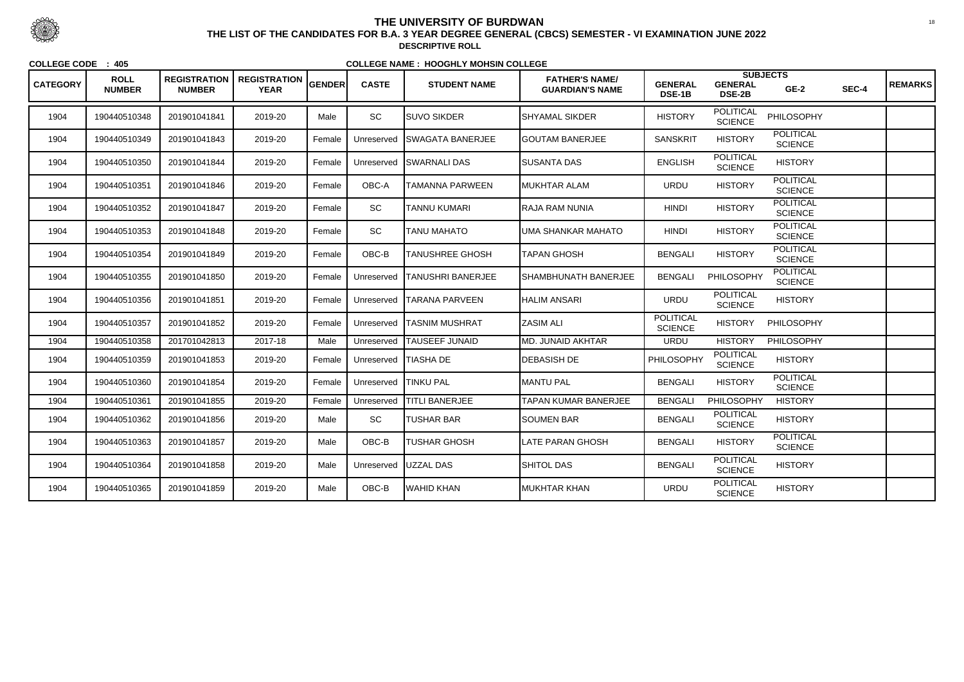| <b>CATEGORY</b> | <b>ROLL</b><br><b>NUMBER</b> | <b>REGISTRATION</b><br><b>NUMBER</b> | <b>REGISTRATION</b><br><b>YEAR</b> | <b>GENDER</b> | <b>CASTE</b> | <b>STUDENT NAME</b>      | <b>FATHER'S NAME/</b><br><b>GUARDIAN'S NAME</b> | <b>GENERAL</b><br>DSE-1B           | <b>GENERAL</b><br><b>DSE-2B</b>    | <b>SUBJECTS</b><br>$GE-2$          | SEC-4 | <b>REMARKS</b> |
|-----------------|------------------------------|--------------------------------------|------------------------------------|---------------|--------------|--------------------------|-------------------------------------------------|------------------------------------|------------------------------------|------------------------------------|-------|----------------|
| 1904            | 190440510348                 | 201901041841                         | 2019-20                            | Male          | SC           | <b>SUVO SIKDER</b>       | SHYAMAL SIKDER                                  | <b>HISTORY</b>                     | <b>POLITICAL</b><br><b>SCIENCE</b> | PHILOSOPHY                         |       |                |
| 1904            | 190440510349                 | 201901041843                         | 2019-20                            | Female        | Unreserved   | <b>ISWAGATA BANERJEE</b> | <b>GOUTAM BANERJEE</b>                          | <b>SANSKRIT</b>                    | <b>HISTORY</b>                     | <b>POLITICAL</b><br><b>SCIENCE</b> |       |                |
| 1904            | 190440510350                 | 201901041844                         | 2019-20                            | Female        | Unreserved   | <b>ISWARNALI DAS</b>     | <b>SUSANTA DAS</b>                              | <b>ENGLISH</b>                     | <b>POLITICAL</b><br><b>SCIENCE</b> | <b>HISTORY</b>                     |       |                |
| 1904            | 190440510351                 | 201901041846                         | 2019-20                            | Female        | OBC-A        | TAMANNA PARWEEN          | IMUKHTAR ALAM                                   | <b>URDU</b>                        | <b>HISTORY</b>                     | <b>POLITICAL</b><br><b>SCIENCE</b> |       |                |
| 1904            | 190440510352                 | 201901041847                         | 2019-20                            | Female        | SC           | <b>TANNU KUMARI</b>      | RAJA RAM NUNIA                                  | <b>HINDI</b>                       | <b>HISTORY</b>                     | <b>POLITICAL</b><br><b>SCIENCE</b> |       |                |
| 1904            | 190440510353                 | 201901041848                         | 2019-20                            | Female        | SC           | <b>TANU MAHATO</b>       | <b>UMA SHANKAR MAHATO</b>                       | <b>HINDI</b>                       | <b>HISTORY</b>                     | <b>POLITICAL</b><br><b>SCIENCE</b> |       |                |
| 1904            | 190440510354                 | 201901041849                         | 2019-20                            | Female        | OBC-B        | <b>TANUSHREE GHOSH</b>   | <b>TAPAN GHOSH</b>                              | <b>BENGALI</b>                     | <b>HISTORY</b>                     | <b>POLITICAL</b><br><b>SCIENCE</b> |       |                |
| 1904            | 190440510355                 | 201901041850                         | 2019-20                            | Female        | Unreserved   | <b>TANUSHRI BANERJEE</b> | <b>SHAMBHUNATH BANERJEE</b>                     | <b>BENGALI</b>                     | PHILOSOPHY                         | <b>POLITICAL</b><br><b>SCIENCE</b> |       |                |
| 1904            | 190440510356                 | 201901041851                         | 2019-20                            | Female        | Unreserved   | <b>ITARANA PARVEEN</b>   | <b>HALIM ANSARI</b>                             | <b>URDU</b>                        | <b>POLITICAL</b><br><b>SCIENCE</b> | <b>HISTORY</b>                     |       |                |
| 1904            | 190440510357                 | 201901041852                         | 2019-20                            | Female        | Unreserved   | <b>TASNIM MUSHRAT</b>    | <b>ZASIM ALI</b>                                | <b>POLITICAL</b><br><b>SCIENCE</b> | <b>HISTORY</b>                     | PHILOSOPHY                         |       |                |
| 1904            | 190440510358                 | 201701042813                         | 2017-18                            | Male          | Unreserved   | <b>TAUSEEF JUNAID</b>    | <b>MD. JUNAID AKHTAR</b>                        | <b>URDU</b>                        | <b>HISTORY</b>                     | <b>PHILOSOPHY</b>                  |       |                |
| 1904            | 190440510359                 | 201901041853                         | 2019-20                            | Female        | Unreserved   | <b>TIASHA DE</b>         | <b>DEBASISH DE</b>                              | PHILOSOPHY                         | <b>POLITICAL</b><br><b>SCIENCE</b> | <b>HISTORY</b>                     |       |                |
| 1904            | 190440510360                 | 201901041854                         | 2019-20                            | Female        | Unreserved   | <b>TINKU PAL</b>         | <b>MANTU PAL</b>                                | <b>BENGALI</b>                     | <b>HISTORY</b>                     | <b>POLITICAL</b><br><b>SCIENCE</b> |       |                |
| 1904            | 190440510361                 | 201901041855                         | 2019-20                            | Female        | Unreserved   | <b>TITLI BANERJEE</b>    | <b>TAPAN KUMAR BANERJEE</b>                     | <b>BENGALI</b>                     | PHILOSOPHY                         | <b>HISTORY</b>                     |       |                |
| 1904            | 190440510362                 | 201901041856                         | 2019-20                            | Male          | SC           | <b>TUSHAR BAR</b>        | <b>SOUMEN BAR</b>                               | <b>BENGALI</b>                     | <b>POLITICAL</b><br><b>SCIENCE</b> | <b>HISTORY</b>                     |       |                |
| 1904            | 190440510363                 | 201901041857                         | 2019-20                            | Male          | OBC-B        | <b>TUSHAR GHOSH</b>      | LATE PARAN GHOSH                                | <b>BENGALI</b>                     | <b>HISTORY</b>                     | <b>POLITICAL</b><br><b>SCIENCE</b> |       |                |
| 1904            | 190440510364                 | 201901041858                         | 2019-20                            | Male          | Unreserved   | UZZAL DAS                | <b>SHITOL DAS</b>                               | <b>BENGALI</b>                     | <b>POLITICAL</b><br><b>SCIENCE</b> | <b>HISTORY</b>                     |       |                |
| 1904            | 190440510365                 | 201901041859                         | 2019-20                            | Male          | $OBC-B$      | <b>WAHID KHAN</b>        | MUKHTAR KHAN                                    | <b>URDU</b>                        | <b>POLITICAL</b><br><b>SCIENCE</b> | <b>HISTORY</b>                     |       |                |



 <sup>18</sup> **THE LIST OF THE CANDIDATES FOR B.A. 3 YEAR DEGREE GENERAL (CBCS) SEMESTER - VI EXAMINATION JUNE 2022DESCRIPTIVE ROLL**

**COLLEGE CODE : 405**